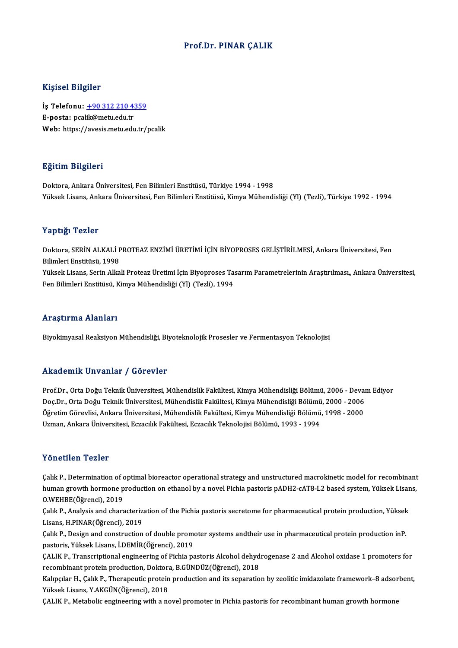### Prof.Dr. PINAR ÇALIK

### Kişisel Bilgiler

Kişisel Bilgiler<br>İş Telefonu: <u>+90 312 210 4359</u><br>E nosta: nsalik@matu.edu.tr 11191001 D1191101<br>İş Telefonu: <u>+90 312 210 4:</u><br>E-posta: pca[lik@metu.edu.tr](tel:+90 312 210 4359) E-posta: pcalik@metu.edu.tr<br>Web: https://avesis.metu.edu.tr/pcalik

### Eğitim Bilgileri

Doktora,AnkaraÜniversitesi,FenBilimleriEnstitüsü,Türkiye 1994 -1998 Yüksek Lisans, Ankara Üniversitesi, Fen Bilimleri Enstitüsü, Kimya Mühendisliği (Yl) (Tezli), Türkiye 1992 - 1994

### Yaptığı Tezler

Yaptığı Tezler<br>Doktora, SERİN ALKALİ PROTEAZ ENZİMİ ÜRETİMİ İÇİN BİYOPROSES GELİŞTİRİLMESİ, Ankara Üniversitesi, Fen<br>Bilimleri Enstitüsü, 1998 1 apera<br>Doktora, SERİN ALKALİ F<br>Bilimleri Enstitüsü, 1998<br>Vültael: Lisana, Sarin Allta Doktora, SERİN ALKALİ PROTEAZ ENZİMİ ÜRETİMİ İÇİN BİYOPROSES GELİŞTİRİLMESİ, Ankara Üniversitesi, Fen<br>Bilimleri Enstitüsü, 1998<br>Yüksek Lisans, Serin Alkali Proteaz Üretimi İçin Biyoproses Tasarım Parametrelerinin Araştırıl Bilimleri Enstitüsü, 1998<br>Yüksek Lisans, Serin Alkali Proteaz Üretimi İçin Biyoproses Ta<br>Fen Bilimleri Enstitüsü, Kimya Mühendisliği (Yl) (Tezli), 1994 Fen Bilimleri Enstitüsü, Kimya Mühendisliği (Yl) (Tezli), 1994<br>Araştırma Alanları

Biyokimyasal Reaksiyon Mühendisliği, Biyoteknolojik Prosesler ve Fermentasyon Teknolojisi

### Akademik Unvanlar / Görevler

Akademik Unvanlar / Görevler<br>Prof.Dr., Orta Doğu Teknik Üniversitesi, Mühendislik Fakültesi, Kimya Mühendisliği Bölümü, 2006 - Devam Ediyor<br>Des Dr., Orta Doğu Teknik Üniversitesi, Mühendislik Fakültesi, Kimya Mühendisliği rındu olirin "Oli vulitar" yı dörevler<br>Prof.Dr., Orta Doğu Teknik Üniversitesi, Mühendislik Fakültesi, Kimya Mühendisliği Bölümü, 2006 - Deval<br>Doç.Dr., Orta Doğu Teknik Üniversitesi, Mühendislik Fakültesi, Kimya Mühendisli Prof.Dr., Orta Doğu Teknik Üniversitesi, Mühendislik Fakültesi, Kimya Mühendisliği Bölümü, 2006 - Deva:<br>Doç.Dr., Orta Doğu Teknik Üniversitesi, Mühendislik Fakültesi, Kimya Mühendisliği Bölümü, 2000 - 2006<br>Öğretim Görevlis Doç.Dr., Orta Doğu Teknik Üniversitesi, Mühendislik Fakültesi, Kimya Mühendisliği Bölümü, 2000 - 2006<br>Öğretim Görevlisi, Ankara Üniversitesi, Mühendislik Fakültesi, Kimya Mühendisliği Bölümü, 1998 - 2000<br>Uzman, Ankara Üniv

### Yönetilen Tezler

Yönetilen Tezler<br>Çalık P., Determination of optimal bioreactor operational strategy and unstructured macrokinetic model for recombinant<br>human grouth hermane production en ethanel by a nevel Bishia pasteris nADH2 sAT8 L2 ba r oncenten 'n chron<br>Çalık P., Determination of optimal bioreactor operational strategy and unstructured macrokinetic model for recombinant<br>human growth hormone production on ethanol by a novel Pichia pastoris pADH2-cAT8-L2 O.WEHBE(Öğrenci),2019 human growth hormone production on ethanol by a novel Pichia pastoris pADH2-cAT8-L2 based system, Yüksek Lisans,<br>O.WEHBE(Öğrenci), 2019<br>Çalık P., Analysis and characterization of the Pichia pastoris secretome for pharmaceu

Çalık P., Analysis and characterization of the Pichia pastoris secretome for pharmaceutical protein production, Yüksek Çalık P., Analysis and characterization of the Pichia pastoris secretome for pharmaceutical protein production, Yüksek<br>Lisans, H.PINAR(Öğrenci), 2019<br>Çalık P., Design and construction of double promoter systems andtheir us

Lisans, H.PINAR(Öğrenci), 2019<br>Çalık P., Design and construction of double prome<br>pastoris, Yüksek Lisans, İ.DEMİR(Öğrenci), 2019<br>CALIK P. Transsriptional angineering of Bishia pa Çalık P., Design and construction of double promoter systems andtheir use in pharmaceutical protein production inP.<br>pastoris, Yüksek Lisans, İ.DEMİR(Öğrenci), 2019<br>ÇALIK P., Transcriptional engineering of Pichia pastoris A

pastoris, Yüksek Lisans, İ.DEMİR(Öğrenci), 2019<br>ÇALIK P., Transcriptional engineering of Pichia pastoris Alcohol dehyd<br>recombinant protein production, Doktora, B.GÜNDÜZ(Öğrenci), 2018<br>Kalınglar H. Calit B. Thereneutis prot CALIK P., Transcriptional engineering of Pichia pastoris Alcohol dehydrogenase 2 and Alcohol oxidase 1 promoters for<br>recombinant protein production, Doktora, B.GÜNDÜZ(Öğrenci), 2018<br>Kalıpçılar H., Çalık P., Therapeutic pro

recombinant protein production, Doktora<br>Kalıpçılar H., Çalık P., Therapeutic protein<br>Yüksek Lisans, Y.AKGÜN(Öğrenci), 2018<br>CALIK P. Metabolis engineering vitb e ne

ÇALIK P., Metabolic engineering with a novel promoter in Pichia pastoris for recombinant human growth hormone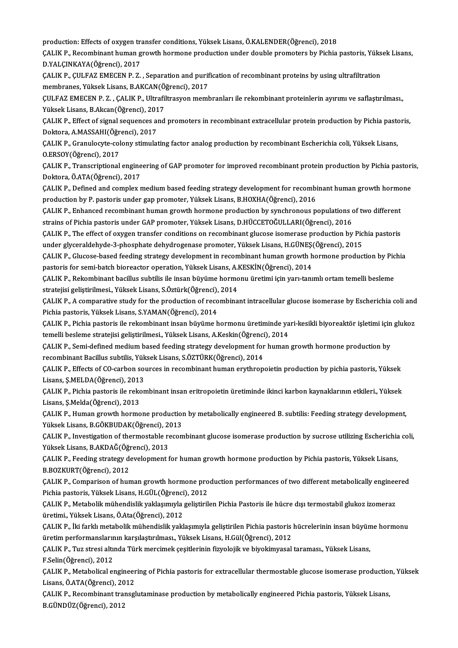production: Effects of oxygen transfer conditions, Yüksek Lisans, Ö.KALENDER(Öğrenci), 2018<br>CALIK P. Besembinant buman greuth bermane production under deuble premetare by Pichia

production: Effects of oxygen transfer conditions, Yüksek Lisans, Ö.KALENDER(Öğrenci), 2018<br>ÇALIK P., Recombinant human growth hormone production under double promoters by Pichia pastoris, Yüksek Lisans,<br>P.YALGINKAYA(Öğren production: Effects of oxygen tra<br>ÇALIK P., Recombinant human g<br>D.YALÇINKAYA(Öğrenci), 2017<br>CALIK P. CULEAZ EMECEN P.Z ÇALIK P., Recombinant human growth hormone production under double promoters by Pichia pastoris, Yüks<br>D.YALÇINKAYA(Öğrenci), 2017<br>ÇALIK P., ÇULFAZ EMECEN P. Z. , Separation and purification of recombinant proteins by using

D.YALÇINKAYA(Öğrenci), 2017<br>ÇALIK P., ÇULFAZ EMECEN P. Z. , Separation and purification of recombinant proteins by using ultrafiltration<br>membranes, Yüksek Lisans, B.AKCAN(Öğrenci), 2017 ÇALIK P., ÇULFAZ EMECEN P. Z. , Separation and purification of recombinant proteins by using ultrafiltration<br>membranes, Yüksek Lisans, B.AKCAN(Öğrenci), 2017<br>ÇULFAZ EMECEN P. Z. , ÇALIK P., Ultrafiltrasyon membranları ile

membranes, Yüksek Lisans, B.AKCAN(Ö)<br>ÇULFAZ EMECEN P. Z. , ÇALIK P., Ultrafil<br>Yüksek Lisans, B.Akcan(Öğrenci), 2017<br>CALIK P. Effect of signal sequences and ÇULFAZ EMECEN P. Z. , ÇALIK P., Ultrafiltrasyon membranları ile rekombinant proteinlerin ayırımı ve saflaştırılması.,<br>Yüksek Lisans, B.Akcan(Öğrenci), 2017<br>ÇALIK P., Effect of signal sequences and promoters in recombinant

Yüksek Lisans, B.Akcan(Öğrenci), 2017<br>ÇALIK P., Effect of signal sequences and<br>Doktora, A.MASSAHI(Öğrenci), 2017 ÇALIK P., Effect of signal sequences and promoters in recombinant extracellular protein production by Pichia pastoris,<br>Doktora, A.MASSAHI(Öğrenci), 2017<br>ÇALIK P., Granulocyte-colony stimulating factor analog production by

Doktora, A.MASSAHI(Öğr<br>ÇALIK P., Granulocyte-col<br>O.ERSOY(Öğrenci), 2017<br>CALIK P., Transcriptional ÇALIK P., Granulocyte-colony stimulating factor analog production by recombinant Escherichia coli, Yüksek Lisans,<br>O.ERSOY(Öğrenci), 2017<br>ÇALIK P., Transcriptional engineering of GAP promoter for improved recombinant protei

ÇALIK P., Transcriptional engineering of GAP promoter for improved recombinant protein production by Pichia pastoris,<br>Doktora, Ö.ATA(Öğrenci), 2017 CALIK P., Transcriptional engineering of GAP promoter for improved recombinant protein production by Pichia pastori<br>Doktora, Ö.ATA(Öğrenci), 2017<br>CALIK P., Defined and complex medium based feeding strategy development for

Doktora, Ö.ATA(Öğrenci), 2017<br>ÇALIK P., Defined and complex medium based feeding strategy development for recombi<br>production by P. pastoris under gap promoter, Yüksek Lisans, B.HOXHA(Öğrenci), 2016<br>CALIK P. Erbanged recomb ÇALIK P., Defined and complex medium based feeding strategy development for recombinant human growth hormo<br>production by P. pastoris under gap promoter, Yüksek Lisans, B.HOXHA(Öğrenci), 2016<br>ÇALIK P., Enhanced recombinant

production by P. pastoris under gap promoter, Yüksek Lisans, B.HOXHA(Öğrenci), 2016<br>ÇALIK P., Enhanced recombinant human growth hormone production by synchronous populations of<br>strains of Pichia pastoris under GAP promoter ÇALIK P., Enhanced recombinant human growth hormone production by synchronous populations of two different<br>strains of Pichia pastoris under GAP promoter, Yüksek Lisans, D.HÜCCETOĞULLARI(Öğrenci), 2016<br>ÇALIK P., The effect

strains of Pichia pastoris under GAP promoter, Yüksek Lisans, D.HÜCCETOĞULLARI(Öğrenci), 2016<br>ÇALIK P., The effect of oxygen transfer conditions on recombinant glucose isomerase production by Pic<br>under glyceraldehyde-3-pho CALIK P., The effect of oxygen transfer conditions on recombinant glucose isomerase production by Pichia pastoris<br>under glyceraldehyde-3-phosphate dehydrogenase promoter, Yüksek Lisans, H.GÜNEŞ(Öğrenci), 2015<br>CALIK P., Glu

under glyceraldehyde-3-phosphate dehydrogenase promoter, Yüksek Lisans, H.GÜNEŞ(<br>ÇALIK P., Glucose-based feeding strategy development in recombinant human growth h<br>pastoris for semi-batch bioreactor operation, Yüksek Lisan ÇALIK P., Glucose-based feeding strategy development in recombinant human growth hormone production by Pichia<br>pastoris for semi-batch bioreactor operation, Yüksek Lisans, A.KESKİN(Öğrenci), 2014<br>ÇALIK P., Rekombinant bacil

pastoris for semi-batch bioreactor operation, Yüksek Lisans, A.<br>ÇALIK P., Rekombinant bacillus subtilis ile insan büyüme hormo<br>stratejisi geliştirilmesi., Yüksek Lisans, S.Öztürk(Öğrenci), 2014<br>CALIK B. A semperative study ÇALIK P., Rekombinant bacillus subtilis ile insan büyüme hormonu üretimi için yarı-tanımlı ortam temelli besleme<br>stratejisi geliştirilmesi., Yüksek Lisans, S.Öztürk(Öğrenci), 2014<br>ÇALIK P., A comparative study for the prod

stratejisi geliştirilmesi., Yüksek Lisans, S.Öztürk(Öğrenci),<br>ÇALIK P., A comparative study for the production of reco<br>Pichia pastoris, Yüksek Lisans, S.YAMAN(Öğrenci), 2014<br>CALIK P., Pichia pastoris ile rekembinant insan ÇALIK P., A comparative study for the production of recombinant intracellular glucose isomerase by Escherichia coli and<br>Pichia pastoris, Yüksek Lisans, S.YAMAN(Öğrenci), 2014<br>ÇALIK P., Pichia pastoris ile rekombinant insan

Pichia pastoris, Yüksek Lisans, S.YAMAN(Öğrenci), 2014<br>ÇALIK P., Pichia pastoris ile rekombinant insan büyüme hormonu üretiminde ya<br>temelli besleme stratejisi geliştirilmesi., Yüksek Lisans, A.Keskin(Öğrenci), 2014<br>CALIK P ÇALIK P., Pichia pastoris ile rekombinant insan büyüme hormonu üretiminde yari-kesikli biyoreaktör işletimi için<br>temelli besleme stratejisi geliştirilmesi., Yüksek Lisans, A.Keskin(Öğrenci), 2014<br>ÇALIK P., Semi-defined med

temelli besleme stratejisi geliştirilmesi., Yüksek Lisans, A.Keskin(Öğrenci)<br>ÇALIK P., Semi-defined medium based feeding strategy development for<br>recombinant Bacillus subtilis, Yüksek Lisans, S.ÖZTÜRK(Öğrenci), 2014<br>CALIK ÇALIK P., Semi-defined medium based feeding strategy development for human growth hormone production by<br>recombinant Bacillus subtilis, Yüksek Lisans, S.ÖZTÜRK(Öğrenci), 2014<br>ÇALIK P., Effects of CO-carbon sources in recomb

recombinant Bacillus subtilis, Yük<br>ÇALIK P., Effects of CO-carbon so<br>Lisans, Ş.MELDA(Öğrenci), 2013<br>CALIK P., Pishia postoria ilə rokan ÇALIK P., Effects of CO-carbon sources in recombinant human erythropoietin production by pichia pastoris, Yüksek<br>Lisans, Ş.MELDA(Öğrenci), 2013<br>ÇALIK P., Pichia pastoris ile rekombinant insan eritropoietin üretiminde ikinc

Lisans, Ş.MELDA(Öğrenci), 2013<br>ÇALIK P., Pichia pastoris ile reko<br>Lisans, Ş.Melda(Öğrenci), 2013<br>CALIK B. Human gravıtb barma ÇALIK P., Pichia pastoris ile rekombinant insan eritropoietin üretiminde ikinci karbon kaynaklarının etkileri., Yüksek<br>Lisans, Ş.Melda(Öğrenci), 2013<br>ÇALIK P., Human growth hormone production by metabolically engineered B.

Lisans, Ş.Melda(Öğrenci), 2013<br>ÇALIK P., Human growth hormone production<br>Yüksek Lisans, B.GÖKBUDAK(Öğrenci), 2013<br>CALIK P. Investisation of thermostable reser Yüksek Lisans, B.GÖKBUDAK(Öğrenci), 2013

ÇALIK P., Investigation of thermostable recombinant glucose isomerase production by sucrose utilizing Escherichia coli,<br>Yüksek Lisans, B.AKDAĞ(Öğrenci), 2013 ÇALIK P., Investigation of thermostable recombinant glucose isomerase production by sucrose utilizing Escherichia<br>Yüksek Lisans, B.AKDAĞ(Öğrenci), 2013<br>ÇALIK P., Feeding strategy development for human growth hormone produc

Yüksek Lisans, B.AKDAĞ(Öğı<br>ÇALIK P., Feeding strategy de<br>B.BOZKURT(Öğrenci), 2012<br>CALIK B. Comparison of bun ÇALIK P., Feeding strategy development for human growth hormone production by Pichia pastoris, Yüksek Lisans,<br>B.BOZKURT(Öğrenci), 2012<br>ÇALIK P., Comparison of human growth hormone production performances of two different m

B.BOZKURT(Öğrenci), 2012<br>ÇALIK P., Comparison of human growth hormone pro<br>Pichia pastoris, Yüksek Lisans, H.GÜL(Öğrenci), 2012<br>CALIK P. Metabolik mühandislik vaklasımıyla salistiril ÇALIK P., Comparison of human growth hormone production performances of two different metabolically engineered<br>Pichia pastoris, Yüksek Lisans, H.GÜL(Öğrenci), 2012<br>ÇALIK P., Metabolik mühendislik yaklaşımıyla geliştirilen

Pichia pastoris, Yüksek Lisans, H.GÜL (Öğrenci<br>ÇALIK P., Metabolik mühendislik yaklaşımıyla<br>üretimi., Yüksek Lisans, Ö.Ata(Öğrenci), 2012<br>CALIK P., İki farklı matabolik mühendislik yakl ÇALIK P., Metabolik mühendislik yaklaşımıyla geliştirilen Pichia Pastoris ile hücre dışı termostabil glukoz izomeraz<br>üretimi., Yüksek Lisans, Ö.Ata(Öğrenci), 2012<br>ÇALIK P., İki farklı metabolik mühendislik yaklaşımıyla gel

üretimi., Yüksek Lisans, Ö.Ata(Öğrenci), 2012<br>ÇALIK P., İki farklı metabolik mühendislik yaklaşımıyla geliştirilen Pichia pastoris<br>üretim performanslarının karşılaştırılması., Yüksek Lisans, H.Gül(Öğrenci), 2012<br>CALIK P.,

ÇALIK P., Tuz stresi altında Türk mercimek çeşitlerinin fizyolojik ve biyokimyasal taraması., Yüksek Lisans,<br>F.Selin(Öğrenci), 2012 üretim performanslarır<br>ÇALIK P., Tuz stresi altı<br>F.Selin(Öğrenci), 2012<br>CALIK P. Matabalisal al ÇALIK P., Tuz stresi altında Türk mercimek çeşitlerinin fizyolojik ve biyokimyasal taraması., Yüksek Lisans,<br>F.Selin(Öğrenci), 2012<br>ÇALIK P., Metabolical engineering of Pichia pastoris for extracellular thermostable glucos

F.Selin(Öğrenci), 2012<br>ÇALIK P., Metabolical engineer<br>Lisans, Ö.ATA(Öğrenci), 2012<br>CALIK P., Bessmbinant transsl ÇALIK P., Metabolical engineering of Pichia pastoris for extracellular thermostable glucose isomerase production<br>Lisans, Ö.ATA(Öğrenci), 2012<br>ÇALIK P., Recombinant transglutaminase production by metabolically engineered Pi

Lisans, Ö.ATA(Öğrenci), 2012<br>ÇALIK P., Recombinant transglutaminase production by metabolically engineered Pichia pastoris, Yüksek Lisans,<br>B.GÜNDÜZ(Öğrenci), 2012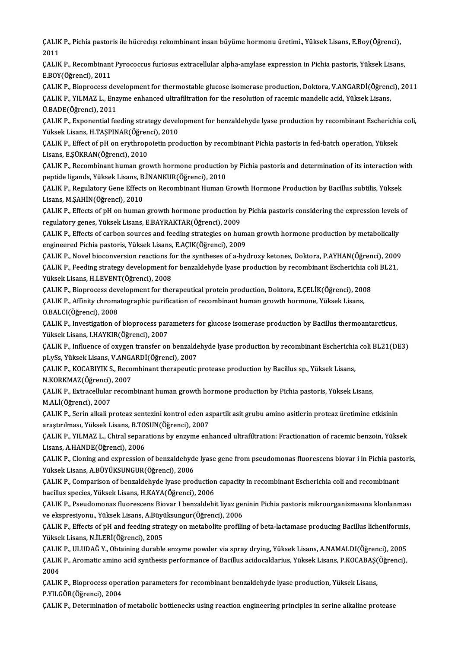ÇALIK P., Pichia pastoris ile hücredışı rekombinant insan büyüme hormonu üretimi., Yüksek Lisans, E.Boy(Öğrenci),<br>2011 CALIK<br>2011<br>CALIM ÇALIK P., Pichia pastoris ile hücredışı rekombinant insan büyüme hormonu üretimi., Yüksek Lisans, E.Boy(Öğrenci),<br>2011<br>ÇALIK P., Recombinant Pyrococcus furiosus extracellular alpha-amylase expression in Pichia pastoris, Yü

2011<br>ÇALIK P., Recombinant Pyrococcus furiosus extracellular alpha-amylase expression in Pichia pastoris, Yüksek Lisans,<br>E.BOY(Öğrenci), 2011 ÇALIK P., Recombinant Pyrococcus furiosus extracellular alpha-amylase expression in Pichia pastoris, Yüksek Lisans,<br>E.BOY(Öğrenci), 2011<br>ÇALIK P., Bioprocess development for thermostable glucose isomerase production, Dokto

E.BOY(Öğrenci), 2011<br>ÇALIK P., Bioprocess development for thermostable glucose isomerase production, Doktora, V.ANGARDİ(Öğrenc<br>ÇALIK P., YILMAZ L., Enzyme enhanced ultrafiltration for the resolution of racemic mandelic aci ÇALIK P., Bioprocess de<br>ÇALIK P., YILMAZ L., Enz<br>Ü.BADE(Öğrenci), 2011<br>CALIK B., Evnonantial fo ÇALIK P., YILMAZ L., Enzyme enhanced ultrafiltration for the resolution of racemic mandelic acid, Yüksek Lisans,<br>Ü.BADE(Öğrenci), 2011<br>ÇALIK P., Exponential feeding strategy development for benzaldehyde lyase production by

YüksekLisans,H.TAŞPINAR(Öğrenci),2010 ÇALIK P., Exponential feeding strategy development for benzaldehyde lyase production by recombinant Escherichia<br>Yüksek Lisans, H.TAŞPINAR(Öğrenci), 2010<br>ÇALIK P., Effect of pH on erythropoietin production by recombinant Pi

Yüksek Lisans, H.TAŞPINAR(Öğren<br>ÇALIK P., Effect of pH on erythrop<br>Lisans, E.ŞÜKRAN(Öğrenci), 2010<br>CALIK B. Besembinant buman TIQ ÇALIK P., Effect of pH on erythropoietin production by recombinant Pichia pastoris in fed-batch operation, Yüksek<br>Lisans, E.ŞÜKRAN(Öğrenci), 2010<br>ÇALIK P., Recombinant human growth hormone production by Pichia pastoris and

Lisans, E.ŞÜKRAN(Öğrenci), 2010<br>ÇALIK P., Recombinant human growth hormone production by Pichia pastoris and determination of its interaction with<br>peptide ligands, Yüksek Lisans, B.İNANKUR(Öğrenci), 2010 ÇALIK P., Recombinant human growth hormone production by Pichia pastoris and determination of its interaction w<br>peptide ligands, Yüksek Lisans, B.İNANKUR(Öğrenci), 2010<br>ÇALIK P., Regulatory Gene Effects on Recombinant Huma

peptide ligands, Yüksek Lisans, B.<br>ÇALIK P., Regulatory Gene Effects<br>Lisans, M.ŞAHİN(Öğrenci), 2010<br>CALIK P., Effects of p.H. on buman ÇALIK P., Regulatory Gene Effects on Recombinant Human Growth Hormone Production by Bacillus subtilis, Yüksek<br>Lisans, M.ŞAHİN(Öğrenci), 2010<br>ÇALIK P., Effects of pH on human growth hormone production by Pichia pastoris con

Lisans, M.ŞAHİN(Öğrenci), 2010<br>ÇALIK P., Effects of pH on human growth hormone production b<br>regulatory genes, Yüksek Lisans, E.BAYRAKTAR(Öğrenci), 2009<br>CALIK P., Effects of garbon sourses and fooding strategies on bu ÇALIK P., Effects of pH on human growth hormone production by Pichia pastoris considering the expression levels<br>regulatory genes, Yüksek Lisans, E.BAYRAKTAR(Öğrenci), 2009<br>ÇALIK P., Effects of carbon sources and feeding st

regulatory genes, Yüksek Lisans, E.BAYRAKTAR(Öğrenci), 2009<br>ÇALIK P., Effects of carbon sources and feeding strategies on human growth hormone production by metabolically<br>engineered Pichia pastoris, Yüksek Lisans, E.AÇIK(Ö ÇALIK P., Effects of carbon sources and feeding strategies on human growth hormone production by metabolically<br>engineered Pichia pastoris, Yüksek Lisans, E.AÇIK(Öğrenci), 2009<br>ÇALIK P., Novel bioconversion reactions for th

engineered Pichia pastoris, Yüksek Lisans, E.AÇIK(Öğrenci), 2009<br>ÇALIK P., Novel bioconversion reactions for the syntheses of a-hydroxy ketones, Doktora, P.AYHAN(Öğrenci), 200<br>ÇALIK P., Feeding strategy development for ben CALIK P., Novel bioconversion reactions fo<br>CALIK P., Feeding strategy development fo<br>Yüksek Lisans, H.LEVENT(Öğrenci), 2008<br>CALIK P. Bionresses development for the ÇALIK P., Feeding strategy development for benzaldehyde lyase production by recombinant Escherichia co<br>Yüksek Lisans, H.LEVENT(Öğrenci), 2008<br>ÇALIK P., Bioprocess development for therapeutical protein production, Doktora,

Yüksek Lisans, H.LEVENT(Öğrenci), 2008<br>ÇALIK P., Bioprocess development for therapeutical protein production, Doktora, E.ÇELİK(Öğrenci), 200<br>ÇALIK P., Affinity chromatographic purification of recombinant human growth hormo CALIK P., Bioprocess dev<br>CALIK P., Affinity chroma<br>O.BALCI(Öğrenci), 2008<br>CALIK P., Investigation of ÇALIK P., Affinity chromatographic purification of recombinant human growth hormone, Yüksek Lisans,<br>O.BALCI(Öğrenci), 2008<br>ÇALIK P., Investigation of bioprocess parameters for glucose isomerase production by Bacillus therm

O.BALCI(Öğrenci), 2008<br>ÇALIK P., Investigation of bioprocess par:<br>Yüksek Lisans, I.HAYKIR(Öğrenci), 2007<br>CALIK P., Influanse of owwan transfor an ÇALIK P., Investigation of bioprocess parameters for glucose isomerase production by Bacillus thermoantarcticus,<br>Yüksek Lisans, I.HAYKIR(Öğrenci), 2007<br>ÇALIK P., Influence of oxygen transfer on benzaldehyde lyase productio

Yüksek Lisans, I.HAYKIR(Öğrenci), 2007<br>ÇALIK P., Influence of oxygen transfer on benzalde<br>pLySs, Yüksek Lisans, V.ANGARDİ(Öğrenci), 2007<br>CALIK P. KOCARIVIK S. Besembinant therenevije 1 CALIK P., Influence of oxygen transfer on benzaldehyde lyase production by recombinant Escherichia<br>pLySs, Yüksek Lisans, V.ANGARDİ(Öğrenci), 2007<br>CALIK P., KOCABIYIK S., Recombinant therapeutic protease production by Bacil

pLySs, Yüksek Lisans, V.ANG/<br>ÇALIK P., KOCABIYIK S., Reco<br>N.KORKMAZ(Öğrenci), 2007<br>CALIK B., Evtrecellular recom

ÇALIK P., KOCABIYIK S., Recombinant therapeutic protease production by Bacillus sp., Yüksek Lisans,<br>N.KORKMAZ(Öğrenci), 2007<br>ÇALIK P., Extracellular recombinant human growth hormone production by Pichia pastoris, Yüksek Li N.KORKMAZ(Öğrenci),<br>ÇALIK P., Extracellular<br>M.ALİ(Öğrenci), 2007<br>CALIK P. Serin all'ali p ÇALIK P., Extracellular recombinant human growth hormone production by Pichia pastoris, Yüksek Lisans,<br>M.ALİ(Öğrenci), 2007<br>ÇALIK P., Serin alkali proteaz sentezini kontrol eden aspartik asit grubu amino asitlerin proteaz

M.ALİ(Öğrenci), 2007<br>ÇALIK P., Serin alkali proteaz sentezini kontrol eden aspartik asit grubu amino asitlerin proteaz üretimine etkisinin araştırılması, Yüksek Lisans, B.TOSUN(Öğrenci), 2007

ÇALIK P., YILMAZ L., Chiral separations by enzyme enhanced ultrafiltration: Fractionation of racemic benzoin, Yüksek<br>Lisans, A.HANDE(Öğrenci), 2006 ÇALIK P., YILMAZ L., Chiral separations by enzyme enhanced ultrafiltration: Fractionation of racemic benzoin, Yüksek<br>Lisans, A.HANDE(Öğrenci), 2006<br>ÇALIK P., Cloning and expression of benzaldehyde lyase gene from pseudomon

Lisans, A.HANDE(Öğrenci), 2006<br>ÇALIK P., Cloning and expression of benzaldehyde<br>Yüksek Lisans, A.BÜYÜKSUNGUR(Öğrenci), 2006<br>CALIK B. Comparison of benzaldehyde lyase pres CALIK P., Cloning and expression of benzaldehyde lyase gene from pseudomonas fluorescens biovar i in Pichia past<br>Tüksek Lisans, A.BÜYÜKSUNGUR(Öğrenci), 2006<br>CALIK P., Comparison of benzaldehyde lyase production capacity in

Yüksek Lisans, A.BÜYÜKSUNGUR(Öğrenci), 2006<br>ÇALIK P., Comparison of benzaldehyde lyase production capacity in recombinant Escherichia coli and recombinant<br>bacillus species, Yüksek Lisans, H.KAYA(Öğrenci), 2006 ÇALIK P., Comparison of benzaldehyde lyase production capacity in recombinant Escherichia coli and recombinant<br>bacillus species, Yüksek Lisans, H.KAYA(Öğrenci), 2006<br>ÇALIK P., Pseudomonas fluorescens Biovar I benzaldehit l

bacillus species, Yüksek Lisans, H.KAYA(Öğrenci), 2006<br>ÇALIK P., Pseudomonas fluorescens Biovar I benzaldehit liyaz gen<br>ve ekspresiyonu., Yüksek Lisans, A.Büyüksungur(Öğrenci), 2006<br>CALIK P., Effects of all and fooding str ÇALIK P., Pseudomonas fluorescens Biovar I benzaldehit liyaz geninin Pichia pastoris mikroorganizmasına klonlanması<br>ve ekspresiyonu., Yüksek Lisans, A.Büyüksungur(Öğrenci), 2006<br>ÇALIK P., Effects of pH and feeding strategy

ve ekspresiyonu., Yüksek Lisans, A.Büyi<br>ÇALIK P., Effects of pH and feeding stra<br>Yüksek Lisans, N.İLERİ(Öğrenci), 2005<br>CALIK B. IILIDAĞ Y., Obtaining durabla ÇALIK P., Effects of pH and feeding strategy on metabolite profiling of beta-lactamase producing Bacillus licheniformis<br>Yüksek Lisans, N.İLERİ(Öğrenci), 2005<br>ÇALIK P., ULUDAĞ Y., Obtaining durable enzyme powder via spray d

Yüksek Lisans, N.İLERİ(Öğrenci), 2005<br>ÇALIK P., ULUDAĞ Y., Obtaining durable enzyme powder via spray drying, Yüksek Lisans, A.NAMALDI(Öğrenci), 2005<br>ÇALIK P., Aromatic amino acid synthesis performance of Bacillus acidocald ÇALIK P., ULUDAĞ Y., Obtaining durable enzyme powder via spray drying, Yüksek Lisans, A.NAMALDI(Öğrenci), 2005<br>ÇALIK P., Aromatic amino acid synthesis performance of Bacillus acidocaldarius, Yüksek Lisans, P.KOCABAŞ(Öğrenc ÇALIK P., Aromatic amino acid synthesis performance of Bacillus acidocaldarius, Yüksek Lisans, P.KOCABAŞ(<br>2004<br>ÇALIK P., Bioprocess operation parameters for recombinant benzaldehyde lyase production, Yüksek Lisans,<br>P.Y.U.C

ÇALIK P., Bioprocess operation parameters for recombinant benzaldehyde lyase production, Yüksek Lisans,<br>P.YILGÖR(Öğrenci), 2004

ÇALIKP.,Determinationofmetabolicbot lenecksusing reactionengineeringprinciples inserine alkaline protease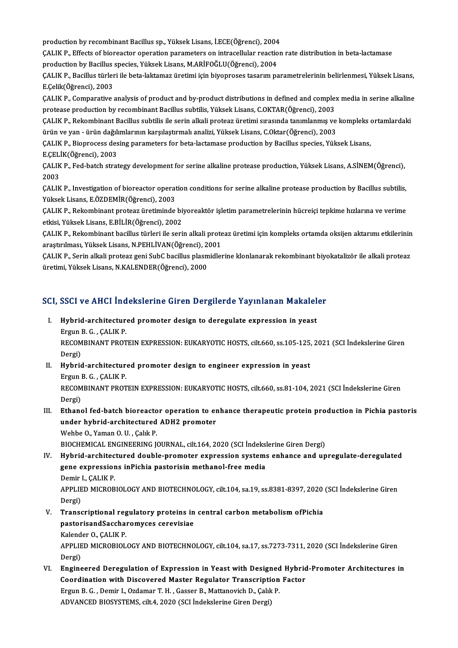production by recombinant Bacillus sp., Yüksek Lisans, İ.ECE(Öğrenci), 2004<br>CALIK P. Effecta of bioreaster operation parameters en intrasellular reastion

ÇALIK P., Effects of bioreactor operation parameters on intracellular reaction rate distribution in beta-lactamase production by recombinant Bacillus sp., Yüksek Lisans, İ.ECE(Öğrenci), 2004<br>ÇALIK P., Effects of bioreactor operation parameters on intracellular reactio<br>production by Bacillus species, Yüksek Lisans, M.ARİFOĞLU(Öğrenci),

production by Bacillus species, Yüksek Lisans, M.ARİFOĞLU(Öğrenci), 2004

ÇALIK P., Bacillus türleri ile beta-laktamaz üretimi için biyoproses tasarım parametrelerinin belirlenmesi, Yüksek Lisans,<br>E.Çelik(Öğrenci), 2003 ÇALIK P., Bacillus türleri ile beta-laktamaz üretimi için biyoproses tasarım parametrelerinin belirlenmesi, Yüksek Lisans,<br>E.Çelik(Öğrenci), 2003<br>ÇALIK P., Comparative analysis of product and by-product distributions in de

E.Çelik(Öğrenci), 2003<br>ÇALIK P., Comparative analysis of product and by-product distributions in defined and comple:<br>protease production by recombinant Bacillus subtilis, Yüksek Lisans, C.OKTAR(Öğrenci), 2003<br>CALIK P. Peke ÇALIK P., Comparative analysis of product and by-product distributions in defined and complex media in serine alkaline<br>protease production by recombinant Bacillus subtilis, Yüksek Lisans, C.OKTAR(Öğrenci), 2003<br>ÇALIK P., R

protease production by recombinant Bacillus subtilis, Yüksek Lisans, C.OKTAR(Öğrenci), 2003<br>ÇALIK P., Rekombinant Bacillus subtilis ile serin alkali proteaz üretimi sırasında tanımlanmış ve kompleks ortamlardaki<br>ürün ve ya ÇALIK P., Rekombinant Bacillus subtilis ile serin alkali proteaz üretimi sırasında tanımlanmış ve kompleks (<br>ürün ve yan - ürün dağılımlarının karşılaştırmalı analizi, Yüksek Lisans, C.Oktar(Öğrenci), 2003<br>ÇALIK P., Biopro

ürün ve yan - ürün dağılı<br>ÇALIK P., Bioprocess des<br>E.ÇELİK(Öğrenci), 2003<br>CALIK P. Eed bateb strat E CELIK(Öğrenci), 2003

ÇALIK P., Fed-batch strategy development for serine alkaline protease production, Yüksek Lisans, A.SİNEM(Öğrenci),<br>2003 ÇALIK P., Fed-batch strategy development for serine alkaline protease production, Yüksek Lisans, A.SİNEM(Öğrenci),<br>2003<br>ÇALIK P., Investigation of bioreactor operation conditions for serine alkaline protease production by

2003<br>ÇALIK P., Investigation of bioreactor operat<br>Yüksek Lisans, E.ÖZDEMİR(Öğrenci), 2003<br>CALIK P., Bakambinant pretess ünstiminde ÇALIK P., Investigation of bioreactor operation conditions for serine alkaline protease production by Bacillus subtilis,<br>Yüksek Lisans, E.ÖZDEMİR(Öğrenci), 2003<br>ÇALIK P., Rekombinant proteaz üretiminde biyoreaktör işletim

Yüksek Lisans, E.ÖZDEMİR(Öğrenci), 2003<br>ÇALIK P., Rekombinant proteaz üretiminde biyoreaktör işletim parametrelerinin hücreiçi tepkime hızlarına ve verime<br>etkisi, Yüksek Lisans, E.BİLİR(Öğrenci), 2002 ÇALIK P., Rekombinant proteaz üretiminde biyoreaktör işletim parametrelerinin hücreiçi tepkime hızlarına ve verime<br>etkisi, Yüksek Lisans, E.BİLİR(Öğrenci), 2002<br>ÇALIK P., Rekombinant bacillus türleri ile serin alkali prote

etkisi, Yüksek Lisans, E.BİLİR(Öğrenci), 2002<br>ÇALIK P., Rekombinant bacillus türleri ile serin alkali prote<br>araştırılması, Yüksek Lisans, N.PEHLİVAN(Öğrenci), 2001<br>CALIK P. Serin alkali protesz seni SubC basillus plasmidle ÇALIK P., Rekombinant bacillus türleri ile serin alkali proteaz üretimi için kompleks ortamda oksijen aktarımı etkilerinin<br>araştırılması, Yüksek Lisans, N.PEHLİVAN(Öğrenci), 2001<br>ÇALIK P., Serin alkali proteaz geni SubC ba

araştırılması, Yüksek Lisans, N.PEHLİVAN(Öğrenci), 2<br>ÇALIK P., Serin alkali proteaz geni SubC bacillus plasm<br>üretimi, Yüksek Lisans, N.KALENDER(Öğrenci), 2000

# ureumi, ruksek Lisans, N.KALENDEK(Ogrenci), 2000<br>SCI, SSCI ve AHCI İndekslerine Giren Dergilerde Yayınlanan Makaleler

- CI, SSCI ve AHCI İndekslerine Giren Dergilerde Yayınlanan Makalel<br>I. Hybrid-architectured promoter design to deregulate expression in yeast<br>Fraun B.C. CALIK B I. Hybrid-architectured promoter design to deregulate expression in yeast RECOMBINANT PROTEIN EXPRESSION: EUKARYOTIC HOSTS, cilt.660, ss.105-125, 2021 (SCI İndekslerine Giren<br>Dergi) Ergun B G , CALIK P RECOMBINANT PROTEIN EXPRESSION: EUKARYOTIC HOSTS, cilt.660, ss.105-125,<br>Dergi)<br>II. Hybrid-architectured promoter design to engineer expression in yeast<br>Fraun B.C. CALIV B.
- Dergi)<br><mark>Hybrid-architectur</mark><br>Ergun B. G. , ÇALIK P.<br>PECOMPINANT PROT Hybrid-architectured promoter design to engineer expression in yeast<br>Ergun B. G. , ÇALIK P.<br>RECOMBINANT PROTEIN EXPRESSION: EUKARYOTIC HOSTS, cilt.660, ss.81-104, 2021 (SCI İndekslerine Giren<br>Dergi) Ergun<br>RECOM<br>Dergi)<br>Ethene RECOMBINANT PROTEIN EXPRESSION: EUKARYOTIC HOSTS, cilt.660, ss.81-104, 2021 (SCI Indekslerine Giren<br>Dergi)<br>III. Ethanol fed-batch bioreactor operation to enhance therapeutic protein production in Pichia pastoris<br>under hybr
- Dergi)<br>Ethanol fed-batch bioreactor operation to er<br>under hybrid-architectured ADH2 promoter<br>Webbe O. Yaman O. U. Calik P Ethanol fed-batch bioreacto<br>under hybrid-architectured<br>Wehbe O., Yaman O.U. , Çalık P.<br>PIOCHEMICAL ENCINEEPINC I Wehbe O., Yaman O. U. , Çalık P.<br>BIOCHEMICAL ENGINEERING JOURNAL, cilt.164, 2020 (SCI İndekslerine Giren Dergi)

- IV. Hybrid-architectured double-promoter expression systems enhance and upregulate-deregulated BIOCHEMICAL ENGINEERING JOURNAL, cilt.164, 2020 (SCI İndeksl<br>Hybrid-architectured double-promoter expression system:<br>gene expressions inPichia pastorisin methanol-free media<br>Domir L.CALIK P. Hybrid-architec<br>gene expressior<br>Demir I., ÇALIK P.<br>APPLIED MICROP gene expressions inPichia pastorisin methanol-free media<br>Demir I., ÇALIK P.<br>APPLIED MICROBIOLOGY AND BIOTECHNOLOGY, cilt.104, sa.19, ss.8381-8397, 2020 (SCI İndekslerine Giren<br>Persi) Demir<br>APPLIE<br>Dergi)<br>Transe APPLIED MICROBIOLOGY AND BIOTECHNOLOGY, cilt.104, sa.19, ss.8381-8397, 2020<br>Dergi)<br>V. Transcriptional regulatory proteins in central carbon metabolism ofPichia<br>nastarisandSassharemyses serevisies
- Dergi)<br>Transcriptional regulatory proteins in<br>pastorisandSaccharomyces cerevisiae<br>Kelender O. CALIK P Transcriptional reg<br>pastorisandSaccha<br>Kalender O., ÇALIK P.<br>APPLED MICROPIOL APPLIED MICROBIOLOGY AND BIOTECHNOLOGY, cilt.104, sa.17, ss.7273-7311, 2020 (SCI İndekslerine Giren<br>Dergi) Kalender O., ÇALIK P.
- APPLIED MICROBIOLOGY AND BIOTECHNOLOGY, cilt.104, sa.17, ss.7273-7311, 2020 (SCI Indekslerine Giren<br>Dergi)<br>VI. Engineered Deregulation of Expression in Yeast with Designed Hybrid-Promoter Architectures in<br>Coordination with Dergi)<br>Engineered Deregulation of Expression in Yeast with Designed Hybric<br>Coordination with Discovered Master Regulator Transcription Factor<br>Fraun B.C., Demin L.Ozdamen.T.H., Cassar B. Mattanevish D. Cabl: B. Engineered Deregulation of Expression in Yeast with Designed<br>Coordination with Discovered Master Regulator Transcription<br>Ergun B.G., Demir I., Ozdamar T. H., Gasser B., Mattanovich D., Çalık P.<br>ADVANCED BIOSVSTEMS silt 4, Coordination with Discovered Master Regulator Transcription Factor<br>Ergun B. G. , Demir I., Ozdamar T. H. , Gasser B., Mattanovich D., Çalık P.<br>ADVANCED BIOSYSTEMS, cilt.4, 2020 (SCI İndekslerine Giren Dergi)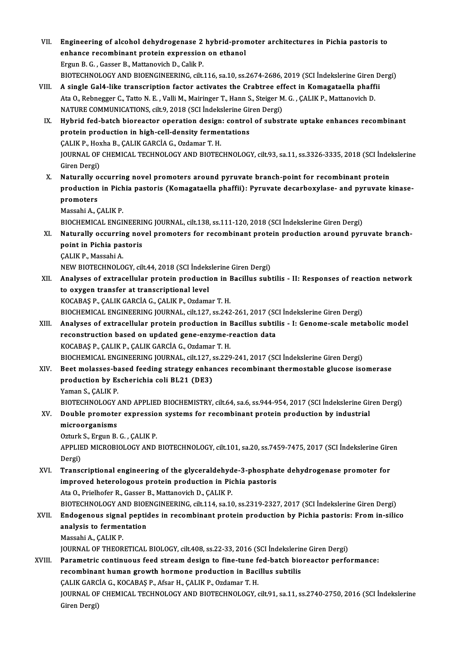VII. Engineering of alcohol dehydrogenase 2 hybrid-promoter architectures in Pichia pastoris to<br>enhange recombinant protein evangesian en ethanol Engineering of alcohol dehydrogenase 2 hybrid-prom<br>enhance recombinant protein expression on ethanol enhance recombinant protein expression on ethanol<br>Ergun B. G., Gasser B., Mattanovich D., Calik P. enhance recombinant protein expression on ethanol<br>Ergun B. G. , Gasser B., Mattanovich D., Calik P.<br>BIOTECHNOLOGY AND BIOENGINEERING, cilt.116, sa.10, ss.2674-2686, 2019 (SCI İndekslerine Giren Dergi)<br>A single Cel4, like t Ergun B. G., Gasser B., Mattanovich D., Calik P.<br>BIOTECHNOLOGY AND BIOENGINEERING, cilt.116, sa.10, ss.2674-2686, 2019 (SCI Indekslerine Giren I<br>VIII. A single Gal4-like transcription factor activates the Crabtree effect i BIOTECHNOLOGY AND BIOENGINEERING, cilt.116, sa.10, ss.2674-2686, 2019 (SCI İndekslerine Giren<br>A single Gal4-like transcription factor activates the Crabtree effect in Komagataella phaff<br>Ata O., Rebnegger C., Tatto N. E. , A single Gal4-like transcription factor activates the Crabtree eff<br>Ata 0., Rebnegger C., Tatto N. E. , Valli M., Mairinger T., Hann S., Steiger M<br>NATURE COMMUNICATIONS, cilt.9, 2018 (SCI İndekslerine Giren Dergi)<br>Hybrid fo Ata O., Rebnegger C., Tatto N. E. , Valli M., Mairinger T., Hann S., Steiger M. G. , ÇALIK P., Mattanovich D.<br>NATURE COMMUNICATIONS, cilt.9, 2018 (SCI İndekslerine Giren Dergi)<br>IX. Hybrid fed-batch bioreactor operation des NATURE COMMUNICATIONS, cilt.9, 2018 (SCI Indekslerine Giren Dergi) Hybrid fed-batch bioreactor operation design<br>protein production in high-cell-density ferme:<br>ÇALIK P., Hoxha B., ÇALIK GARCİA G., Ozdamar T. H.<br>JOUPMAL OF CHEMICAL TECHNOLOCY AND PIOTEC JOURNAL OF CHEMICAL TECHNOLOGY AND BIOTECHNOLOGY, cilt.93, sa.11, ss.3326-3335, 2018 (SCI İndekslerine<br>Giren Dergi) CALIK P., Hox<br>JOURNAL OF<br>Giren Dergi)<br>Naturally of X. Naturally occurring novel promoters around pyruvate branch-point for recombinant protein Giren Dergi)<br>Naturally occurring novel promoters around pyruvate branch-point for recombinant protein<br>production in Pichia pastoris (Komagataella phaffii): Pyruvate decarboxylase- and pyruvate kinase-<br>promotore Naturally o<br>production<br>promoters<br>Massabi A. G **production in Pich<br>promoters<br>Massahi A., ÇALIK P.<br>PIOCUEMICAL ENCE** promoters<br>Massahi A., ÇALIK P.<br>BIOCHEMICAL ENGINEERING JOURNAL, cilt.138, ss.111-120, 2018 (SCI İndekslerine Giren Dergi) XI. Naturally occurring novel promoters for recombinant protein production around pyruvate branch-**BIOCHEMICAL ENGINEERI<br>Naturally occurring nov<br>point in Pichia pastoris<br>CALIV P. Messabi A Naturally occurrin<br>point in Pichia pas<br>CALIK P., Massahi A.<br>NEW PIOTECUNOLO** ÇALIK P., Massahi A.<br>NEW BIOTECHNOLOGY, cilt.44, 2018 (SCI İndekslerine Giren Dergi) XII. Analyses of extracellular protein production in Bacillus subtilis - II: Responses of reaction network to oxygen transfer at transcriptional level KOCABAŞ P., ÇALIK GARCİA G., ÇALIK P., Ozdamar T. H. to oxygen transfer at transcriptional level<br>KOCABAŞ P., ÇALIK GARCİA G., ÇALIK P., Ozdamar T. H.<br>BIOCHEMICAL ENGINEERING JOURNAL, cilt.127, ss.242-261, 2017 (SCI İndekslerine Giren Dergi)<br>Analysas of aytrasallular protain KOCABAŞ P., ÇALIK GARCİA G., ÇALIK P., Ozdamar T. H.<br>BIOCHEMICAL ENGINEERING JOURNAL, cilt.127, ss.242-261, 2017 (SCI İndekslerine Giren Dergi)<br>XIII. Analyses of extracellular protein production in Bacillus subtilis - I: G BIOCHEMICAL ENGINEERING JOURNAL, cilt.127, ss.242-261, 2017 (SC<br>Analyses of extracellular protein production in Bacillus subtil<br>reconstruction based on updated gene-enzyme-reaction data<br>rocaras r. cal IV R. cal IV Carcia c Analyses of extracellular protein production in I<br>reconstruction based on updated gene-enzyme-r<br>KOCABAŞ P., ÇALIK P., ÇALIK GARCİA G., Ozdamar T. H.<br>PIOCHEMICAL ENCINEEPINC JOUPNAL gilt 127, 28,229 reconstruction based on updated gene-enzyme-reaction data<br>KOCABAŞ P., ÇALIK P., ÇALIK GARCİA G., Ozdamar T. H.<br>BIOCHEMICAL ENGINEERING JOURNAL, cilt.127, ss.229-241, 2017 (SCI İndekslerine Giren Dergi)<br>Beet melasses based KOCABAŞ P., ÇALIK P., ÇALIK GARCİA G., Ozdamar T. H.<br>BIOCHEMICAL ENGINEERING JOURNAL, cilt.127, ss.229-241, 2017 (SCI İndekslerine Giren Dergi)<br>XIV. Beet molasses-based feeding strategy enhances recombinant thermostable gl BIOCHEMICAL ENGINEERING JOURNAL, cilt.127, s<br>Beet molasses-based feeding strategy enhal<br>production by Escherichia coli BL21 (DE3)<br><sup>Vaman S.</sup> SALIK B **Beet molasses-band**<br>**production by Es<br>Yaman S., ÇALIK P.<br>PLOTECUNOL OCY 4** production by Escherichia coli BL21 (DE3)<br>Yaman S., ÇALIK P.<br>BIOTECHNOLOGY AND APPLIED BIOCHEMISTRY, cilt.64, sa.6, ss.944-954, 2017 (SCI İndekslerine Giren Dergi)<br>Dauble premeter evryeseian systems for resembinant pretain Yaman S., ÇALIK P.<br>BIOTECHNOLOGY AND APPLIED BIOCHEMISTRY, cilt.64, sa.6, ss.944-954, 2017 (SCI İndekslerine Gir<br>XV. Double promoter expression systems for recombinant protein production by industrial<br>microorganisme. BIOTECHNOLOGY<br>Double promote<br>microorganisms<br>Orturk S. Ergun B. XV. Double promoter expression systems for recombinant protein production by industrial microorganisms APPLIED MICROBIOLOGY AND BIOTECHNOLOGY, cilt.101, sa.20, ss.7459-7475, 2017 (SCI İndekslerine Giren<br>Dergi) Ozturk S., Ergun B. G., CALIK P. APPLIED MICROBIOLOGY AND BIOTECHNOLOGY, cilt.101, sa.20, ss.7459-7475, 2017 (SCI İndekslerine Gire<br>Dergi)<br>XVI. Transcriptional engineering of the glyceraldehyde-3-phosphate dehydrogenase promoter for<br>improved betarelageus Dergi)<br>Transcriptional engineering of the glyceraldehyde-3-phospha<br>improved heterologous protein production in Pichia pastoris<br>Ata O. Prielhofer B. Casser B. Mattanevich D. CALIK P. improved heterologous protein production in Pichia pastoris<br>Ata O., Prielhofer R., Gasser B., Mattanovich D., ÇALIK P. BIOTECHNOLOGY AND BIOENGINEERING, cilt.114, sa.10, ss.2319-2327, 2017 (SCI İndekslerine Giren Dergi) Ata 0., Prielhofer R., Gasser B., Mattanovich D., ÇALIK P.<br>BIOTECHNOLOGY AND BIOENGINEERING, cilt.114, sa.10, ss.2319-2327, 2017 (SCI İndekslerine Giren Dergi)<br>XVII. Endogenous signal peptides in recombinant protein produc BIOTECHNOLOGY AND BIOE<br>Endogenous signal peption<br>analysis to fermentation<br>Massabi A. CALIV B Endogenous signa<br>analysis to fermen<br>Massahi A., ÇALIK P.<br>JOUPNAL OF THEOP analysis to fermentation<br>Massahi A., ÇALIK P.<br>JOURNAL OF THEORETICAL BIOLOGY, cilt.408, ss.22-33, 2016 (SCI İndekslerine Giren Dergi)<br>Peremetris sentinuous feed streem design to fine tune fed beteb bioreaster perfe Massahi A., ÇALIK P.<br>JOURNAL OF THEORETICAL BIOLOGY, cilt.408, ss.22-33, 2016 (SCI İndekslerine Giren Dergi)<br>XVIII. Parametric continuous feed stream design to fine-tune fed-batch bioreactor performance: JOURNAL OF THEORETICAL BIOLOGY, cilt.408, ss.22-33, 2016 (SCI İndekslerin<br>Parametric continuous feed stream design to fine-tune fed-batch bio<br>recombinant human growth hormone production in Bacillus subtilis<br>CALIK CARCIA C. recombinant human growth hormone production in Bacillus subtilis JOURNAL OF CHEMICAL TECHNOLOGY AND BIOTECHNOLOGY, cilt.91, sa.11, ss.2740-2750, 2016 (SCI İndekslerine<br>Giren Dergi) CALIK GARCIA G., KOCABAŞ P., Afsar H., ÇALIK P., Ozdamar T. H.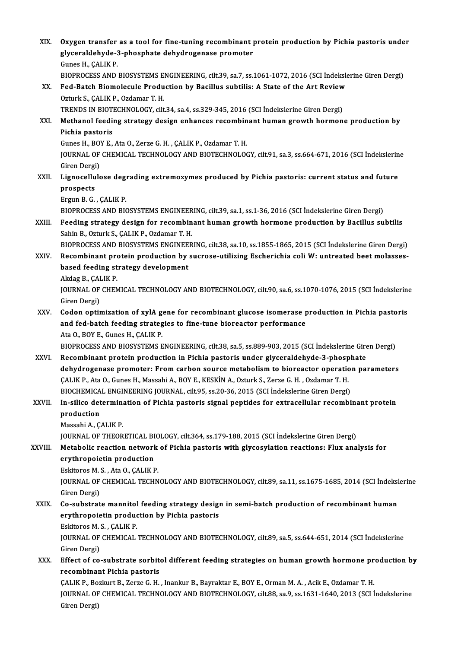| XIX.    | Oxygen transfer as a tool for fine-tuning recombinant protein production by Pichia pastoris under<br>glyceraldehyde-3-phosphate dehydrogenase promoter<br>Gunes H., ÇALIK P.                |
|---------|---------------------------------------------------------------------------------------------------------------------------------------------------------------------------------------------|
| XX.     | BIOPROCESS AND BIOSYSTEMS ENGINEERING, cilt.39, sa.7, ss.1061-1072, 2016 (SCI Indekslerine Giren Dergi)<br>Fed-Batch Biomolecule Production by Bacillus subtilis: A State of the Art Review |
|         | Ozturk S., ÇALIK P., Ozdamar T. H.<br>TRENDS IN BIOTECHNOLOGY, cilt.34, sa.4, ss.329-345, 2016 (SCI Indekslerine Giren Dergi)                                                               |
| XXI.    | Methanol feeding strategy design enhances recombinant human growth hormone production by<br>Pichia pastoris                                                                                 |
|         | Gunes H., BOY E., Ata O., Zerze G. H., ÇALIK P., Ozdamar T. H.                                                                                                                              |
|         | JOURNAL OF CHEMICAL TECHNOLOGY AND BIOTECHNOLOGY, cilt.91, sa.3, ss.664-671, 2016 (SCI İndekslerine                                                                                         |
| XXII.   | Giren Dergi)<br>Lignocellulose degrading extremozymes produced by Pichia pastoris: current status and future                                                                                |
|         | prospects                                                                                                                                                                                   |
|         | Ergun B G , CALIK P                                                                                                                                                                         |
|         | BIOPROCESS AND BIOSYSTEMS ENGINEERING, cilt.39, sa.1, ss.1-36, 2016 (SCI İndekslerine Giren Dergi)                                                                                          |
| XXIII.  | Feeding strategy design for recombinant human growth hormone production by Bacillus subtilis<br>Sahin B., Ozturk S., ÇALIK P., Ozdamar T. H.                                                |
|         | BIOPROCESS AND BIOSYSTEMS ENGINEERING, cilt.38, sa.10, ss.1855-1865, 2015 (SCI Indekslerine Giren Dergi)                                                                                    |
| XXIV.   | Recombinant protein production by sucrose-utilizing Escherichia coli W: untreated beet molasses-                                                                                            |
|         | based feeding strategy development                                                                                                                                                          |
|         | Akdag B., ÇALIK P.<br>JOURNAL OF CHEMICAL TECHNOLOGY AND BIOTECHNOLOGY, cilt.90, sa.6, ss.1070-1076, 2015 (SCI İndekslerine                                                                 |
|         | Giren Dergi)                                                                                                                                                                                |
| XXV.    | Codon optimization of xylA gene for recombinant glucose isomerase production in Pichia pastoris                                                                                             |
|         | and fed-batch feeding strategies to fine-tune bioreactor performance                                                                                                                        |
|         | Ata O., BOY E., Gunes H., CALIK P.                                                                                                                                                          |
|         | BIOPROCESS AND BIOSYSTEMS ENGINEERING, cilt.38, sa.5, ss.889-903, 2015 (SCI Indekslerine Giren Dergi)                                                                                       |
| XXVI.   | Recombinant protein production in Pichia pastoris under glyceraldehyde-3-phosphate                                                                                                          |
|         | dehydrogenase promoter: From carbon source metabolism to bioreactor operation parameters                                                                                                    |
|         | CALIK P., Ata O., Gunes H., Massahi A., BOY E., KESKİN A., Ozturk S., Zerze G. H., Ozdamar T. H.                                                                                            |
|         | BIOCHEMICAL ENGINEERING JOURNAL, cilt.95, ss.20-36, 2015 (SCI Indekslerine Giren Dergi)                                                                                                     |
| XXVII.  | In-silico determination of Pichia pastoris signal peptides for extracellular recombinant protein<br>production                                                                              |
|         | Massahi A., ÇALIK P.                                                                                                                                                                        |
|         | JOURNAL OF THEORETICAL BIOLOGY, cilt.364, ss.179-188, 2015 (SCI İndekslerine Giren Dergi)                                                                                                   |
| XXVIII. | Metabolic reaction network of Pichia pastoris with glycosylation reactions: Flux analysis for                                                                                               |
|         | erythropoietin production                                                                                                                                                                   |
|         | Eskitoros M. S., Ata O., ÇALIK P.                                                                                                                                                           |
|         | JOURNAL OF CHEMICAL TECHNOLOGY AND BIOTECHNOLOGY, cilt.89, sa.11, ss.1675-1685, 2014 (SCI İndekslerine                                                                                      |
|         | Giren Dergi)                                                                                                                                                                                |
| XXIX.   | Co-substrate mannitol feeding strategy design in semi-batch production of recombinant human                                                                                                 |
|         | erythropoietin production by Pichia pastoris                                                                                                                                                |
|         | Eskitoros M. S., CALIK P.                                                                                                                                                                   |
|         | JOURNAL OF CHEMICAL TECHNOLOGY AND BIOTECHNOLOGY, cilt.89, sa.5, ss.644-651, 2014 (SCI İndekslerine<br>Giren Dergi)                                                                         |
| XXX.    | Effect of co-substrate sorbitol different feeding strategies on human growth hormone production by                                                                                          |
|         | recombinant Pichia pastoris                                                                                                                                                                 |
|         | ÇALIK P., Bozkurt B., Zerze G. H., Inankur B., Bayraktar E., BOY E., Orman M. A., Acik E., Ozdamar T. H.                                                                                    |
|         | JOURNAL OF CHEMICAL TECHNOLOGY AND BIOTECHNOLOGY, cilt.88, sa.9, ss.1631-1640, 2013 (SCI İndekslerine                                                                                       |
|         | Giren Dergi)                                                                                                                                                                                |
|         |                                                                                                                                                                                             |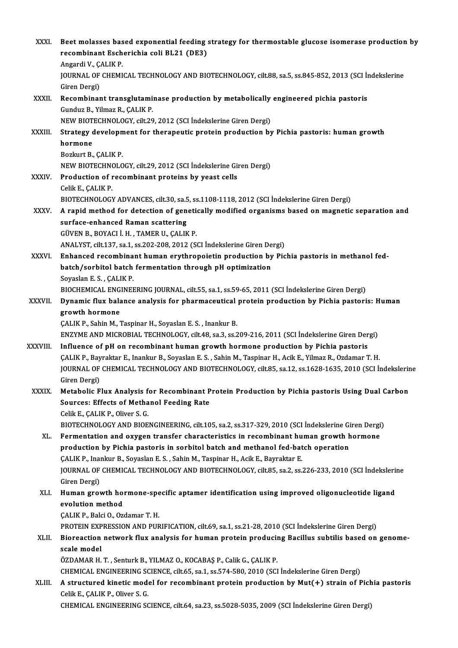| XXXI.         | Beet molasses based exponential feeding strategy for thermostable glucose isomerase production by<br>recombinant Escherichia coli BL21 (DE3)<br>Angardi V., ÇALIK P      |
|---------------|--------------------------------------------------------------------------------------------------------------------------------------------------------------------------|
|               | JOURNAL OF CHEMICAL TECHNOLOGY AND BIOTECHNOLOGY, cilt.88, sa.5, ss.845-852, 2013 (SCI İndekslerine                                                                      |
| XXXII.        | Giren Dergi)<br>Recombinant transglutaminase production by metabolically engineered pichia pastoris                                                                      |
|               | Gunduz B., Yilmaz R., ÇALIK P.<br>NEW BIOTECHNOLOGY, cilt.29, 2012 (SCI İndekslerine Giren Dergi)                                                                        |
| XXXIII.       | Strategy development for therapeutic protein production by Pichia pastoris: human growth                                                                                 |
|               | hormone                                                                                                                                                                  |
|               | Bozkurt B, CALIK P                                                                                                                                                       |
|               | NEW BIOTECHNOLOGY, cilt.29, 2012 (SCI İndekslerine Giren Dergi)                                                                                                          |
| XXXIV.        | Production of recombinant proteins by yeast cells                                                                                                                        |
|               | Celik E., ÇALIK P.                                                                                                                                                       |
|               | BIOTECHNOLOGY ADVANCES, cilt.30, sa.5, ss.1108-1118, 2012 (SCI Indekslerine Giren Dergi)                                                                                 |
| <b>XXXV</b>   | A rapid method for detection of genetically modified organisms based on magnetic separation and<br>surface-enhanced Raman scattering                                     |
|               | GÜVEN B., BOYACI İ.H., TAMER U., ÇALIK P.                                                                                                                                |
|               | ANALYST, cilt.137, sa.1, ss.202-208, 2012 (SCI Indekslerine Giren Dergi)                                                                                                 |
| XXXVI.        | Enhanced recombinant human erythropoietin production by Pichia pastoris in methanol fed-                                                                                 |
|               | batch/sorbitol batch fermentation through pH optimization                                                                                                                |
|               | Soyaslan E.S., ÇALIK P.                                                                                                                                                  |
|               | BIOCHEMICAL ENGINEERING JOURNAL, cilt.55, sa.1, ss.59-65, 2011 (SCI İndekslerine Giren Dergi)                                                                            |
| <b>XXXVII</b> | Dynamic flux balance analysis for pharmaceutical protein production by Pichia pastoris: Human                                                                            |
|               | growth hormone                                                                                                                                                           |
|               | CALIK P., Sahin M., Taspinar H., Soyaslan E. S., Inankur B.<br>ENZYME AND MICROBIAL TECHNOLOGY, cilt.48, sa.3, ss.209-216, 2011 (SCI İndekslerine Giren Dergi)           |
| XXXVIII.      | Influence of pH on recombinant human growth hormone production by Pichia pastoris                                                                                        |
|               | CALIK P., Bayraktar E., Inankur B., Soyaslan E. S., Sahin M., Taspinar H., Acik E., Yilmaz R., Ozdamar T. H.                                                             |
|               | JOURNAL OF CHEMICAL TECHNOLOGY AND BIOTECHNOLOGY, cilt.85, sa.12, ss.1628-1635, 2010 (SCI İndekslerine                                                                   |
|               | Giren Dergi)                                                                                                                                                             |
| <b>XXXIX</b>  | Metabolic Flux Analysis for Recombinant Protein Production by Pichia pastoris Using Dual Carbon                                                                          |
|               | <b>Sources: Effects of Methanol Feeding Rate</b>                                                                                                                         |
|               | Celik E., ÇALIK P., Oliver S. G.                                                                                                                                         |
|               | BIOTECHNOLOGY AND BIOENGINEERING, cilt.105, sa.2, ss.317-329, 2010 (SCI Indekslerine Giren Dergi)                                                                        |
| XL.           | Fermentation and oxygen transfer characteristics in recombinant human growth hormone<br>production by Pichia pastoris in sorbitol batch and methanol fed-batch operation |
|               | ÇALIK P., Inankur B., Soyaslan E. S., Sahin M., Taspinar H., Acik E., Bayraktar E.                                                                                       |
|               | JOURNAL OF CHEMICAL TECHNOLOGY AND BIOTECHNOLOGY, cilt.85, sa.2, ss.226-233, 2010 (SCI İndekslerine                                                                      |
|               | Giren Dergi)                                                                                                                                                             |
| XLI.          | Human growth hormone-specific aptamer identification using improved oligonucleotide ligand                                                                               |
|               | evolution method                                                                                                                                                         |
|               | ÇALIK P., Balci O., Ozdamar T. H.                                                                                                                                        |
|               | PROTEIN EXPRESSION AND PURIFICATION, cilt.69, sa.1, ss.21-28, 2010 (SCI İndekslerine Giren Dergi)                                                                        |
| XLII.         | Bioreaction network flux analysis for human protein producing Bacillus subtilis based on genome-                                                                         |
|               | scale model<br>ÖZDAMAR H. T., Senturk B., YILMAZ O., KOCABAŞ P., Calik G., ÇALIK P.                                                                                      |
|               | CHEMICAL ENGINEERING SCIENCE, cilt.65, sa.1, ss.574-580, 2010 (SCI Indekslerine Giren Dergi)                                                                             |
| XLIII.        | A structured kinetic model for recombinant protein production by Mut(+) strain of Pichia pastoris                                                                        |
|               | Celik E., ÇALIK P., Oliver S. G.                                                                                                                                         |
|               | CHEMICAL ENGINEERING SCIENCE, cilt.64, sa.23, ss.5028-5035, 2009 (SCI İndekslerine Giren Dergi)                                                                          |
|               |                                                                                                                                                                          |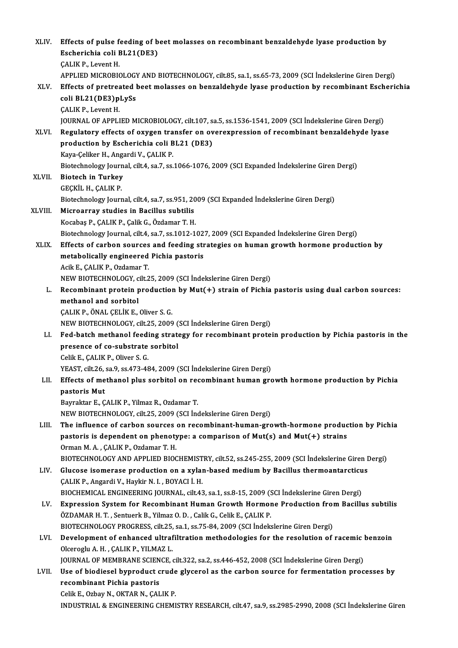| XLIV.   | Effects of pulse feeding of beet molasses on recombinant benzaldehyde lyase production by              |
|---------|--------------------------------------------------------------------------------------------------------|
|         | Escherichia coli BL21(DE3)                                                                             |
|         | <b>CALIK P., Levent H.</b>                                                                             |
|         | APPLIED MICROBIOLOGY AND BIOTECHNOLOGY, cilt.85, sa.1, ss.65-73, 2009 (SCI İndekslerine Giren Dergi)   |
| XLV.    | Effects of pretreated beet molasses on benzaldehyde lyase production by recombinant Escherichia        |
|         | coli BL21(DE3)pLySs                                                                                    |
|         | <b>ÇALIK P</b> , Levent H                                                                              |
|         | JOURNAL OF APPLIED MICROBIOLOGY, cilt.107, sa.5, ss.1536-1541, 2009 (SCI İndekslerine Giren Dergi)     |
| XLVI.   | Regulatory effects of oxygen transfer on overexpression of recombinant benzaldehyde lyase              |
|         | production by Escherichia coli BL21 (DE3)                                                              |
|         | Kaya-Çeliker H., Angardi V., ÇALIK P.                                                                  |
|         | Biotechnology Journal, cilt.4, sa.7, ss.1066-1076, 2009 (SCI Expanded İndekslerine Giren Dergi)        |
| XLVII.  | <b>Biotech in Turkey</b>                                                                               |
|         | GEÇKİL H., ÇALIK P.                                                                                    |
|         | Biotechnology Journal, cilt.4, sa.7, ss.951, 2009 (SCI Expanded Indekslerine Giren Dergi)              |
| XLVIII. | Microarray studies in Bacillus subtilis                                                                |
|         | Kocabaş P., ÇALIK P., Çalik G., Özdamar T. H.                                                          |
|         | Biotechnology Journal, cilt.4, sa.7, ss.1012-1027, 2009 (SCI Expanded Indekslerine Giren Dergi)        |
| XLIX.   | Effects of carbon sources and feeding strategies on human growth hormone production by                 |
|         | metabolically engineered Pichia pastoris                                                               |
|         | Acik E., ÇALIK P., Ozdamar T.                                                                          |
|         | NEW BIOTECHNOLOGY, cilt.25, 2009 (SCI İndekslerine Giren Dergi)                                        |
| L.      | Recombinant protein production by Mut(+) strain of Pichia pastoris using dual carbon sources:          |
|         | methanol and sorbitol                                                                                  |
|         | ÇALIK P., ÖNAL ÇELİK E., Oliver S. G.                                                                  |
|         | NEW BIOTECHNOLOGY, cilt.25, 2009 (SCI İndekslerine Giren Dergi)                                        |
| LI.     | Fed-batch methanol feeding strategy for recombinant protein production by Pichia pastoris in the       |
|         | presence of co-substrate sorbitol                                                                      |
|         | Celik E. CALIK P. Oliver S. G.                                                                         |
|         | YEAST, cilt.26, sa.9, ss.473-484, 2009 (SCI Indekslerine Giren Dergi)                                  |
| LII.    | Effects of methanol plus sorbitol on recombinant human growth hormone production by Pichia             |
|         | pastoris Mut<br>Bayraktar E., ÇALIK P., Yilmaz R., Ozdamar T.                                          |
|         | NEW BIOTECHNOLOGY, cilt.25, 2009 (SCI Indekslerine Giren Dergi)                                        |
| LIII.   | The influence of carbon sources on recombinant-human-growth-hormone production by Pichia               |
|         | pastoris is dependent on phenotype: a comparison of Mut(s) and Mut(+) strains                          |
|         | Orman M. A., ÇALIK P., Ozdamar T. H.                                                                   |
|         | BIOTECHNOLOGY AND APPLIED BIOCHEMISTRY, cilt.52, ss.245-255, 2009 (SCI İndekslerine Giren Dergi)       |
| LIV.    | Glucose isomerase production on a xylan-based medium by Bacillus thermoantarcticus                     |
|         | ÇALIK P., Angardi V., Haykir N. I., BOYACI İ. H.                                                       |
|         | BIOCHEMICAL ENGINEERING JOURNAL, cilt.43, sa.1, ss.8-15, 2009 (SCI İndekslerine Giren Dergi)           |
| LV.     | Expression System for Recombinant Human Growth Hormone Production from Bacillus subtilis               |
|         | ÖZDAMAR H. T., Sentuerk B., Yilmaz O. D., Calik G., Celik E., CALIK P.                                 |
|         | BIOTECHNOLOGY PROGRESS, cilt.25, sa.1, ss.75-84, 2009 (SCI İndekslerine Giren Dergi)                   |
| LVI.    | Development of enhanced ultrafiltration methodologies for the resolution of racemic benzoin            |
|         | Olceroglu A. H., ÇALIK P., YILMAZ L.                                                                   |
|         | JOURNAL OF MEMBRANE SCIENCE, cilt.322, sa.2, ss.446-452, 2008 (SCI Indekslerine Giren Dergi)           |
| LVII.   | Use of biodiesel byproduct crude glycerol as the carbon source for fermentation processes by           |
|         | recombinant Pichia pastoris                                                                            |
|         | Celik E., Ozbay N., OKTAR N., ÇALIK P.                                                                 |
|         | INDUSTRIAL & ENGINEERING CHEMISTRY RESEARCH, cilt.47, sa.9, ss.2985-2990, 2008 (SCI İndekslerine Giren |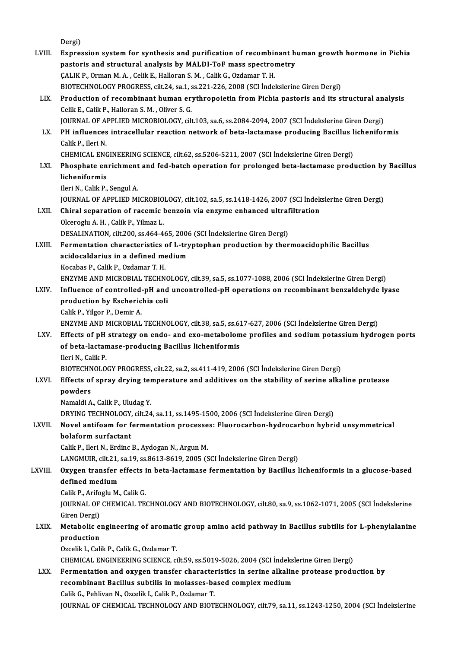|         | Dergi)                                                                                                                                                                                           |
|---------|--------------------------------------------------------------------------------------------------------------------------------------------------------------------------------------------------|
| LVIII.  | Expression system for synthesis and purification of recombinant human growth hormone in Pichia                                                                                                   |
|         | pastoris and structural analysis by MALDI-ToF mass spectrometry                                                                                                                                  |
|         | ÇALIK P., Orman M. A., Celik E., Halloran S. M., Calik G., Ozdamar T. H.<br>BIOTECHNOLOGY PROGRESS, cilt.24, sa.1, ss.221-226, 2008 (SCI İndekslerine Giren Dergi)                               |
| LIX.    | Production of recombinant human erythropoietin from Pichia pastoris and its structural analysis                                                                                                  |
|         | Celik E., Calik P., Halloran S. M., Oliver S. G.                                                                                                                                                 |
|         | JOURNAL OF APPLIED MICROBIOLOGY, cilt.103, sa.6, ss.2084-2094, 2007 (SCI İndekslerine Giren Dergi)                                                                                               |
| LX.     | PH influences intracellular reaction network of beta-lactamase producing Bacillus licheniformis                                                                                                  |
|         | Calik P., Ileri N.                                                                                                                                                                               |
|         | CHEMICAL ENGINEERING SCIENCE, cilt.62, ss.5206-5211, 2007 (SCI Indekslerine Giren Dergi)                                                                                                         |
| LXI.    | Phosphate enrichment and fed-batch operation for prolonged beta-lactamase production by Bacillus                                                                                                 |
|         | licheniformis                                                                                                                                                                                    |
|         | Ileri N., Calik P., Sengul A.                                                                                                                                                                    |
|         | JOURNAL OF APPLIED MICROBIOLOGY, cilt.102, sa.5, ss.1418-1426, 2007 (SCI İndekslerine Giren Dergi)                                                                                               |
| LXII.   | Chiral separation of racemic benzoin via enzyme enhanced ultrafiltration                                                                                                                         |
|         | Olceroglu A. H., Calik P., Yilmaz L.                                                                                                                                                             |
|         | DESALINATION, cilt.200, ss.464-465, 2006 (SCI İndekslerine Giren Dergi)                                                                                                                          |
| LXIII.  | Fermentation characteristics of L-tryptophan production by thermoacidophilic Bacillus                                                                                                            |
|         | acidocaldarius in a defined medium                                                                                                                                                               |
|         | Kocabas P., Calik P., Ozdamar T. H.                                                                                                                                                              |
| LXIV.   | ENZYME AND MICROBIAL TECHNOLOGY, cilt.39, sa.5, ss.1077-1088, 2006 (SCI İndekslerine Giren Dergi)<br>Influence of controlled-pH and uncontrolled-pH operations on recombinant benzaldehyde lyase |
|         | production by Escherichia coli                                                                                                                                                                   |
|         | Calik P., Yilgor P., Demir A.                                                                                                                                                                    |
|         | ENZYME AND MICROBIAL TECHNOLOGY, cilt.38, sa.5, ss.617-627, 2006 (SCI İndekslerine Giren Dergi)                                                                                                  |
| LXV.    | Effects of pH strategy on endo- and exo-metabolome profiles and sodium potassium hydrogen ports                                                                                                  |
|         | of beta-lactamase-producing Bacillus licheniformis                                                                                                                                               |
|         | Ileri N., Calik P.                                                                                                                                                                               |
|         | BIOTECHNOLOGY PROGRESS, cilt.22, sa.2, ss.411-419, 2006 (SCI İndekslerine Giren Dergi)                                                                                                           |
| LXVI.   | Effects of spray drying temperature and additives on the stability of serine alkaline protease                                                                                                   |
|         | powders                                                                                                                                                                                          |
|         | Namaldi A., Calik P., Uludag Y.                                                                                                                                                                  |
|         | DRYING TECHNOLOGY, cilt.24, sa.11, ss.1495-1500, 2006 (SCI Indekslerine Giren Dergi)                                                                                                             |
| LXVII.  | Novel antifoam for fermentation processes: Fluorocarbon-hydrocarbon hybrid unsymmetrical                                                                                                         |
|         | bolaform surfactant                                                                                                                                                                              |
|         | Calik P., Ileri N., Erdinc B., Aydogan N., Argun M.<br>LANGMUIR, cilt.21, sa.19, ss.8613-8619, 2005 (SCI İndekslerine Giren Dergi)                                                               |
| LXVIII. | Oxygen transfer effects in beta-lactamase fermentation by Bacillus licheniformis in a glucose-based                                                                                              |
|         | defined medium                                                                                                                                                                                   |
|         | Calik P., Arifoglu M., Calik G.                                                                                                                                                                  |
|         | JOURNAL OF CHEMICAL TECHNOLOGY AND BIOTECHNOLOGY, cilt.80, sa.9, ss.1062-1071, 2005 (SCI İndekslerine                                                                                            |
|         | Giren Dergi)                                                                                                                                                                                     |
| LXIX.   | Metabolic engineering of aromatic group amino acid pathway in Bacillus subtilis for L-phenylalanine                                                                                              |
|         | production                                                                                                                                                                                       |
|         | Ozcelik I., Calik P., Calik G., Ozdamar T.                                                                                                                                                       |
|         | CHEMICAL ENGINEERING SCIENCE, cilt.59, ss.5019-5026, 2004 (SCI İndekslerine Giren Dergi)                                                                                                         |
| LXX.    | Fermentation and oxygen transfer characteristics in serine alkaline protease production by                                                                                                       |
|         | recombinant Bacillus subtilis in molasses-based complex medium                                                                                                                                   |
|         | Calik G., Pehlivan N., Ozcelik I., Calik P., Ozdamar T.                                                                                                                                          |
|         | JOURNAL OF CHEMICAL TECHNOLOGY AND BIOTECHNOLOGY, cilt.79, sa.11, ss.1243-1250, 2004 (SCI İndekslerine                                                                                           |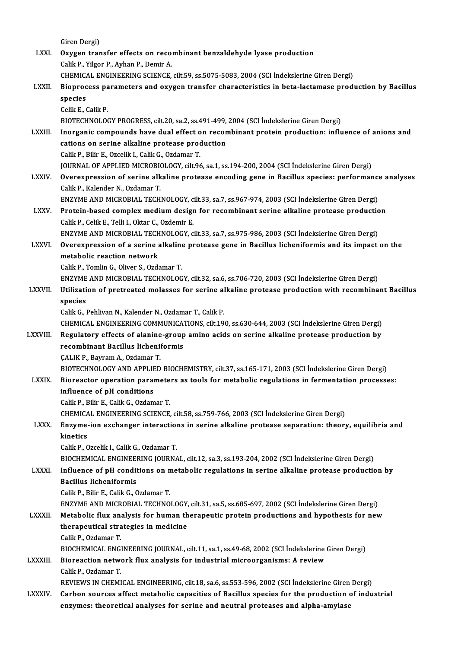|                 | Giren Dergi)                                                                                                                                  |
|-----------------|-----------------------------------------------------------------------------------------------------------------------------------------------|
| LXXI.           | Oxygen transfer effects on recombinant benzaldehyde lyase production                                                                          |
|                 | Calik P., Yilgor P., Ayhan P., Demir A.                                                                                                       |
|                 | CHEMICAL ENGINEERING SCIENCE, cilt.59, ss.5075-5083, 2004 (SCI Indekslerine Giren Dergi)                                                      |
| LXXII.          | Bioprocess parameters and oxygen transfer characteristics in beta-lactamase production by Bacillus                                            |
|                 | species                                                                                                                                       |
|                 | Celik E, Calik P.                                                                                                                             |
|                 | BIOTECHNOLOGY PROGRESS, cilt.20, sa.2, ss.491-499, 2004 (SCI Indekslerine Giren Dergi)                                                        |
| LXXIII.         | Inorganic compounds have dual effect on recombinant protein production: influence of anions and                                               |
|                 | cations on serine alkaline protease production                                                                                                |
|                 | Calik P., Bilir E., Ozcelik I., Calik G., Ozdamar T.                                                                                          |
|                 | JOURNAL OF APPLIED MICROBIOLOGY, cilt.96, sa.1, ss.194-200, 2004 (SCI Indekslerine Giren Dergi)                                               |
| <b>LXXIV</b>    | Overexpression of serine alkaline protease encoding gene in Bacillus species: performance analyses                                            |
|                 | Calik P., Kalender N., Ozdamar T.                                                                                                             |
|                 | ENZYME AND MICROBIAL TECHNOLOGY, cilt.33, sa.7, ss.967-974, 2003 (SCI Indekslerine Giren Dergi)                                               |
| LXXV.           | Protein-based complex medium design for recombinant serine alkaline protease production                                                       |
|                 | Calik P., Celik E., Telli I., Oktar C., Ozdemir E.                                                                                            |
|                 | ENZYME AND MICROBIAL TECHNOLOGY, cilt.33, sa.7, ss.975-986, 2003 (SCI Indekslerine Giren Dergi)                                               |
| <b>LXXVI</b> .  | Overexpression of a serine alkaline protease gene in Bacillus licheniformis and its impact on the                                             |
|                 | metabolic reaction network                                                                                                                    |
|                 | Calik P., Tomlin G., Oliver S., Ozdamar T.<br>ENZYME AND MICROBIAL TECHNOLOGY, cilt.32, sa.6, ss.706-720, 2003 (SCI İndekslerine Giren Dergi) |
| LXXVII.         | Utilization of pretreated molasses for serine alkaline protease production with recombinant Bacillus                                          |
|                 | species                                                                                                                                       |
|                 | Calik G., Pehlivan N., Kalender N., Ozdamar T., Calik P.                                                                                      |
|                 | CHEMICAL ENGINEERING COMMUNICATIONS, cilt.190, ss.630-644, 2003 (SCI Indekslerine Giren Dergi)                                                |
| LXXVIII.        | Regulatory effects of alanine-group amino acids on serine alkaline protease production by                                                     |
|                 | recombinant Bacillus licheniformis                                                                                                            |
|                 | ÇALIK P., Bayram A., Ozdamar T.                                                                                                               |
|                 | BIOTECHNOLOGY AND APPLIED BIOCHEMISTRY, cilt.37, ss.165-171, 2003 (SCI İndekslerine Giren Dergi)                                              |
| <b>LXXIX</b>    | Bioreactor operation parameters as tools for metabolic regulations in fermentation processes:                                                 |
|                 | influence of pH conditions                                                                                                                    |
|                 | Calik P., Bilir E., Calik G., Ozdamar T.                                                                                                      |
|                 | CHEMICAL ENGINEERING SCIENCE, cilt.58, ss.759-766, 2003 (SCI Indekslerine Giren Dergi)                                                        |
| <b>LXXX</b>     | Enzyme-ion exchanger interactions in serine alkaline protease separation: theory, equilibria and                                              |
|                 | kinetics                                                                                                                                      |
|                 | Calik P., Ozcelik I., Calik G., Ozdamar T.                                                                                                    |
|                 | BIOCHEMICAL ENGINEERING JOURNAL, cilt.12, sa.3, ss.193-204, 2002 (SCI İndekslerine Giren Dergi)                                               |
| <b>LXXXI</b>    | Influence of pH conditions on metabolic regulations in serine alkaline protease production by                                                 |
|                 | <b>Bacillus licheniformis</b>                                                                                                                 |
|                 | Calik P., Bilir E., Calik G., Ozdamar T.                                                                                                      |
|                 | ENZYME AND MICROBIAL TECHNOLOGY, cilt.31, sa.5, ss.685-697, 2002 (SCI İndekslerine Giren Dergi)                                               |
| <b>LXXXII</b>   | Metabolic flux analysis for human therapeutic protein productions and hypothesis for new<br>therapeutical strategies in medicine              |
|                 | Calik P, Ozdamar T.                                                                                                                           |
|                 | BIOCHEMICAL ENGINEERING JOURNAL, cilt.11, sa.1, ss.49-68, 2002 (SCI Indekslerine Giren Dergi)                                                 |
| <b>LXXXIII.</b> | Bioreaction network flux analysis for industrial microorganisms: A review                                                                     |
|                 | Calik P, Ozdamar T                                                                                                                            |
|                 | REVIEWS IN CHEMICAL ENGINEERING, cilt.18, sa.6, ss.553-596, 2002 (SCI Indekslerine Giren Dergi)                                               |
| <b>LXXXIV</b>   | Carbon sources affect metabolic capacities of Bacillus species for the production of industrial                                               |
|                 | enzymes: theoretical analyses for serine and neutral proteases and alpha-amylase                                                              |
|                 |                                                                                                                                               |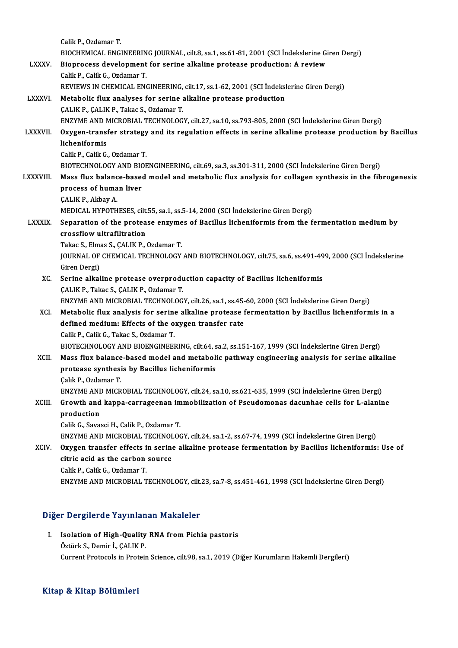|                  | Calik P, Ozdamar T.                                                                                    |
|------------------|--------------------------------------------------------------------------------------------------------|
|                  | BIOCHEMICAL ENGINEERING JOURNAL, cilt.8, sa.1, ss.61-81, 2001 (SCI Indekslerine Giren Dergi)           |
| <b>LXXXV</b>     | Bioprocess development for serine alkaline protease production: A review                               |
|                  | Calik P., Calik G., Ozdamar T.                                                                         |
|                  | REVIEWS IN CHEMICAL ENGINEERING, cilt.17, ss.1-62, 2001 (SCI Indekslerine Giren Dergi)                 |
| <b>LXXXVI.</b>   | Metabolic flux analyses for serine alkaline protease production                                        |
|                  | ÇALIK P., ÇALIK P., Takac S., Ozdamar T.                                                               |
|                  | ENZYME AND MICROBIAL TECHNOLOGY, cilt.27, sa.10, ss.793-805, 2000 (SCI İndekslerine Giren Dergi)       |
| <b>LXXXVII</b>   | Oxygen-transfer strategy and its regulation effects in serine alkaline protease production by Bacillus |
|                  | licheniformis                                                                                          |
|                  | Calik P., Calik G., Ozdamar T.                                                                         |
|                  | BIOTECHNOLOGY AND BIOENGINEERING, cilt.69, sa.3, ss.301-311, 2000 (SCI Indekslerine Giren Dergi)       |
| <b>LXXXVIII.</b> | Mass flux balance-based model and metabolic flux analysis for collagen synthesis in the fibrogenesis   |
|                  | process of human liver                                                                                 |
|                  | ÇALIK P, Akbay A                                                                                       |
|                  | MEDICAL HYPOTHESES, cilt.55, sa.1, ss.5-14, 2000 (SCI Indekslerine Giren Dergi)                        |
| <b>LXXXIX</b>    | Separation of the protease enzymes of Bacillus licheniformis from the fermentation medium by           |
|                  | crossflow ultrafiltration                                                                              |
|                  | Takac S., Elmas S., ÇALIK P., Ozdamar T.                                                               |
|                  | JOURNAL OF CHEMICAL TECHNOLOGY AND BIOTECHNOLOGY, cilt.75, sa.6, ss.491-499, 2000 (SCI İndekslerine    |
|                  | Giren Dergi)                                                                                           |
| XC.              | Serine alkaline protease overproduction capacity of Bacillus licheniformis                             |
|                  | ÇALIK P., Takac S., ÇALIK P., Ozdamar T.                                                               |
|                  | ENZYME AND MICROBIAL TECHNOLOGY, cilt.26, sa.1, ss.45-60, 2000 (SCI İndekslerine Giren Dergi)          |
| XCI.             | Metabolic flux analysis for serine alkaline protease fermentation by Bacillus licheniformis in a       |
|                  | defined medium: Effects of the oxygen transfer rate                                                    |
|                  | Calik P., Calik G., Takac S., Ozdamar T.                                                               |
|                  | BIOTECHNOLOGY AND BIOENGINEERING, cilt.64, sa.2, ss.151-167, 1999 (SCI İndekslerine Giren Dergi)       |
| XCII.            | Mass flux balance-based model and metabolic pathway engineering analysis for serine alkaline           |
|                  | protease synthesis by Bacillus licheniformis                                                           |
|                  | Çalık P., Ozdamar T.                                                                                   |
|                  | ENZYME AND MICROBIAL TECHNOLOGY, cilt.24, sa.10, ss.621-635, 1999 (SCI İndekslerine Giren Dergi)       |
| XCIII.           | Growth and kappa-carrageenan immobilization of Pseudomonas dacunhae cells for L-alanine                |
|                  | production                                                                                             |
|                  | Calik G., Savasci H., Calik P., Ozdamar T.                                                             |
|                  | ENZYME AND MICROBIAL TECHNOLOGY, cilt.24, sa.1-2, ss.67-74, 1999 (SCI İndekslerine Giren Dergi)        |
| XCIV.            | Oxygen transfer effects in serine alkaline protease fermentation by Bacillus licheniformis: Use of     |
|                  | citric acid as the carbon source                                                                       |
|                  | Calik P., Calik G., Ozdamar T.                                                                         |
|                  | ENZYME AND MICROBIAL TECHNOLOGY, cilt.23, sa.7-8, ss.451-461, 1998 (SCI İndekslerine Giren Dergi)      |
|                  |                                                                                                        |

## Diğer Dergilerde Yayınlanan Makaleler

Iger Dergilerde Yayınlanan Makaleler<br>I. Isolation of High-Quality RNA from Pichia pastoris<br>Östürk S. Demin L. CALIK P man Borghordo Tayman<br>Isolation of High-Quality<br>Öztürk S., Demir İ., ÇALIK P.<br>Current Pretesels in Pretei Öztürk S., Demir İ., ÇALIK P.<br>Current Protocols in Protein Science, cilt.98, sa.1, 2019 (Diğer Kurumların Hakemli Dergileri)

## Kitap & Kitap Bölümleri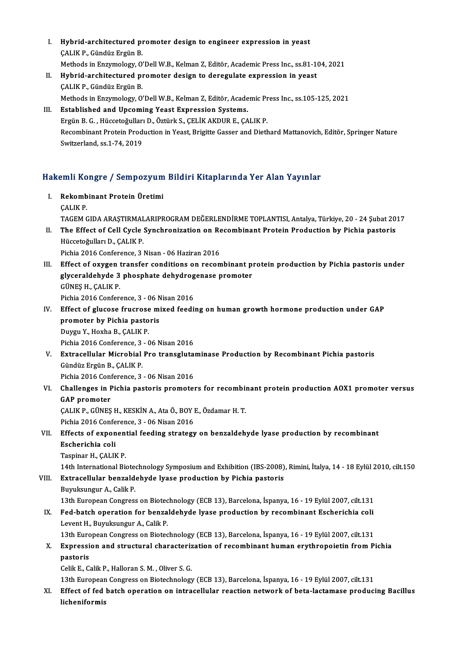- I. Hybrid-architectured promoter design to engineer expression in yeast **Hybrid-architectured pi**<br>ÇALIK P., Gündüz Ergün B.<br>Methode in Engumelegy O' ÇALIK P., Gündüz Ergün B.<br>Methods in Enzymology, O'Dell W.B., Kelman Z. Editör, Academic Press Inc., ss.81-104, 2021 CALIK P., Gündüz Ergün B.<br>Methods in Enzymology, O'Dell W.B., Kelman Z, Editör, Academic Press Inc., ss.81-10<br>II. Hybrid-architectured promoter design to deregulate expression in yeast<br>CALIK B. Gündüz Exgün B.
- Methods in Enzymology, O'<br>Hybrid-architectured pi<br>ÇALIK P., Gündüz Ergün B.<br>Methods in Enzymology, O' Hybrid-architectured promoter design to deregulate expression in yeast<br>ÇALIK P., Gündüz Ergün B.<br>Methods in Enzymology, O'Dell W.B., Kelman Z, Editör, Academic Press Inc., ss.105-125, 2021<br>Established and Unseming Yeast Ex
- CALIK P., Gündüz Ergün B.<br>Methods in Enzymology, O'Dell W.B., Kelman Z, Editör, Academic Pr<br>III. Established and Upcoming Yeast Expression Systems.<br>Ergün B. G. , Hüccetoğulları D., Öztürk S., CELİK AKDUR E., CALIK P. Methods in Enzymology, O'Dell W.B., Kelman Z, Editör, Academic Pr<br>Established and Upcoming Yeast Expression Systems.<br>Ergün B. G. , Hüccetoğulları D., Öztürk S., ÇELİK AKDUR E., ÇALIK P.<br>Becembinant Pretain Production in Ye Established and Upcoming Yeast Expression Systems.<br>Ergün B. G. , Hüccetoğulları D., Öztürk S., ÇELİK AKDUR E., ÇALIK P.<br>Recombinant Protein Production in Yeast, Brigitte Gasser and Diethard Mattanovich, Editör, Springer Na Ergün B. G. , Hüccetoğulları<br>Recombinant Protein Prod<br>Switzerland, ss.1-74, 2019

# swizeriand, ss.1-74, 2019<br>Hakemli Kongre / Sempozyum Bildiri Kitaplarında Yer Alan Yayınlar

- akemli Kongre / Sempozyum<br>I. Rekombinant Protein Üretimi I. Rekombinant Protein Üretimi<br>CALIK P. Rekombinant Protein Üretimi<br>ÇALIK P.<br>TAGEM GIDA ARAŞTIRMALARIPROGRAM DEĞERLENDİRME TOPLANTISI, Antalya, Türkiye, 20 - 24 Şubat 2017<br>The Effect of Cell Gyale Synehrenization en Besembinant Protein Production by Pishia nesta CALIK P.<br>I . TAGEM GIDA ARAŞTIRMALARIPROGRAM DEĞERLENDİRME TOPLANTISI, Antalya, Türkiye, 20 - 24 Şubat 20<br>II. The Effect of Cell Cycle Synchronization on Recombinant Protein Production by Pichia pastoris<br>Hüsseteğulları
- TAGEM GIDA ARAŞTIRMAL<br>The Effect of Cell Cycle<br>Hüccetoğulları D., ÇALIK P.<br>Pishia 2016 Conforence 3. The Effect of Cell Cycle Synchronization on Re<br>Hüccetoğulları D., ÇALIK P.<br>Pichia 2016 Conference, 3 Nisan - 06 Haziran 2016<br>Effect of oxugan transfor conditions on reson Hüccetoğulları D., ÇALIK P.<br>Pichia 2016 Conference, 3 Nisan - 06 Haziran 2016<br>III. Effect of oxygen transfer conditions on recombinant protein production by Pichia pastoris under
- Pichia 2016 Conference, 3 Nisan 06 Haziran 2016<br>Effect of oxygen transfer conditions on recombinant p<br>glyceraldehyde 3 phosphate dehydrogenase promoter<br>CÜNES H. CALIK P Effect of oxygen<br>glyceraldehyde 3<br>GÜNEŞ H., ÇALIK P.<br>Pishia 2016 Conform glyceraldehyde 3 phosphate dehydrog<br>GÜNEŞ H., ÇALIK P.<br>Pichia 2016 Conference, 3 - 06 Nisan 2016<br>Fffest of slugase frugnese mixed foodi: GÜNEŞ H., ÇALIK P.<br>Pichia 2016 Conference, 3 - 06 Nisan 2016<br>IV. Effect of glucose frucrose mixed feeding on human growth hormone production under GAP<br>promotor by Bishia pastoris
- Pichia 2016 Conference, 3 06 Nisan 2016<br>Effect of glucose frucrose mixed feedi<br>promoter by Pichia pastoris<br>Duygu Y., Hoxha B., CALIK P. Effect of glucose frucrose<br>promoter by Pichia pasto<br>Duygu Y., Hoxha B., ÇALIK P.<br>Pichia 2016 Conference 2.

Pichia 2016 Conference, 3 - 06 Nisan 2016

Duygu Y., Hoxha B., ÇALIK P.<br>Pichia 2016 Conference, 3 - 06 Nisan 2016<br>V. Extracellular Microbial Pro transglutaminase Production by Recombinant Pichia pastoris<br>Cündüz Engün B. CALIK B Gündüz Ergün B., ÇALIK P. Extracellular Microbial Pro transgluta<br>Gündüz Ergün B., ÇALIK P.<br>Pichia 2016 Conference, 3 - 06 Nisan 2016<br>Challanges in Bishia postanis promotal

Pichia 2016 Conference, 3 - 06 Nisan 2016

VI. Challenges in Pichia pastoris promoters for recombinant protein production AOX1 promoter versus GAP promoter Challenges in Pichia pastoris promoters for recombin<br>GAP promoter<br>ÇALIK P., GÜNEŞ H., KESKİN A., Ata Ö., BOY E., Özdamar H. T.<br>Pichia 2016 Conference 2., O6 Nisan 2016

GAP promoter<br>ÇALIK P., GÜNEŞ H., KESKİN A., Ata Ö., BOY I<br>Pichia 2016 Conference, 3 - 06 Nisan 2016<br>Effects of eunonential fooding strategy

# CALIK P., GÜNEŞ H., KESKİN A., Ata Ö., BOY E., Özdamar H. T.<br>Pichia 2016 Conference, 3 - 06 Nisan 2016<br>VII. Effects of exponential feeding strategy on benzaldehyde lyase production by recombinant<br>Escharishia coli Pichia 2016 Confe<br>Effects of expon<br>Escherichia coli<br>Tecninar H. CALIA Effects of exponent<br>Escherichia coli<br>Taspinar H., ÇALIK P.<br>14th International Bi

Escherichia coli<br>Taspinar H., ÇALIK P.<br>14th International Biotechnology Symposium and Exhibition (IBS-2008), Rimini, İtalya, 14 - 18 Eylül 2010, cilt.150

Taspinar H., ÇALIK P.<br>14th International Biotechnology Symposium and Exhibition (IBS-2008)<br>VIII. Extracellular benzaldehyde lyase production by Pichia pastoris<br>Purukaungun A. Calik P.

14th International Biote<br>Extracellular benzald<br>Buyuksungur A., Calik P.<br>12th Euroneen Congress

Buyuksungur A., Calik P.<br>13th European Congress on Biotechnology (ECB 13), Barcelona, İspanya, 16 - 19 Eylül 2007, cilt.131

Buyuksungur A., Calik P.<br>13th European Congress on Biotechnology (ECB 13), Barcelona, İspanya, 16 - 19 Eylül 2007, cilt.131<br>IX. Fed-batch operation for benzaldehyde lyase production by recombinant Escherichia coli<br>I avent 13th European Congress on Biotec<br>Fed-batch operation for benza<br>Levent H., Buyuksungur A., Calik P.<br>13th European Congress on Biotec 13the Fed-batch operation for benzaldehyde lyase production by recombinant Escherichia coli<br>Levent H., Buyuksungur A., Calik P.<br>13th European Congress on Biotechnology (ECB 13), Barcelona, İspanya, 16 - 19 Eylül 2007, cilt

Levent H., Buyuksungur A., Calik P.<br>13th European Congress on Biotechnology (ECB 13), Barcelona, İspanya, 16 - 19 Eylül 2007, cilt.131<br>X. Expression and structural characterization of recombinant human erythropoietin from 13th European Congress on Biotechnology (ECB 13), Barcelona, İspanya, 16 - 19 Eylül 2007, cilt.131<br>Expression and structural characterization of recombinant human erythropoietin from P<br>pastoris<br>Celik E., Calik P., Halloran Expression and structural characteriz<br>pastoris<br>Celik E., Calik P., Halloran S. M. , Oliver S. G.<br>12th European Congress on Bistechnology

13th European Congress on Biotechnology (ECB 13), Barcelona, İspanya, 16 - 19 Eylül 2007, cilt.131

Celik E., Calik P., Halloran S. M. , Oliver S. G.<br>13th European Congress on Biotechnology (ECB 13), Barcelona, İspanya, 16 - 19 Eylül 2007, cilt.131<br>XI. Effect of fed batch operation on intracellular reaction network of be 13th European<br><mark>Effect of fed</mark><br>licheniformis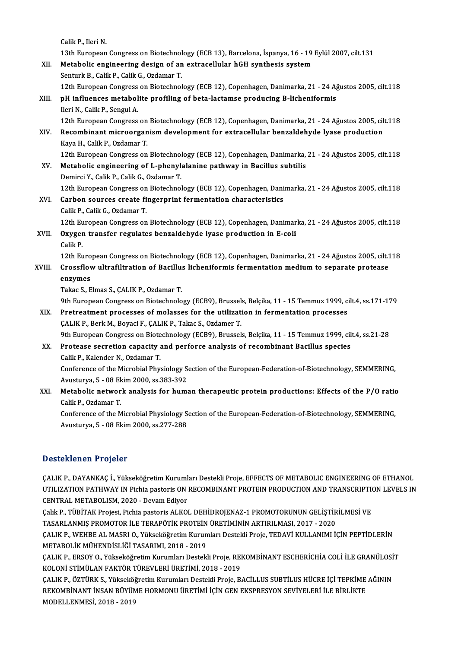Calik P., Ileri N.

Calik P., Ileri N.<br>13th European Congress on Biotechnology (ECB 13), Barcelona, İspanya, 16 - 19 Eylül 2007, cilt.131<br>Metabolis engineering design of an eytrasellular bCH synthesis system

Calik P., Ileri N.<br>13th European Congress on Biotechnology (ECB 13), Barcelona, İspanya, 16 - 19<br>XII. Metabolic engineering design of an extracellular hGH synthesis system<br>Senturk B. Calik B. Calik C. Ordaman T. Metabolic engineering design of an extracellular hGH synthesis system<br>Senturk B., Calik P., Calik G., Ozdamar T. Metabolic engineering design of an extracellular hGH synthesis system<br>Senturk B., Calik P., Calik G., Ozdamar T.<br>12th European Congress on Biotechnology (ECB 12), Copenhagen, Danimarka, 21 - 24 Ağustos 2005, cilt.118<br>nH in

- Senturk B., Calik P., Calik G., Ozdamar T.<br>12th European Congress on Biotechnology (ECB 12), Copenhagen, Danimarka, 21 24 A.<br>XIII. pH influences metabolite profiling of beta-lactamse producing B-licheniformis<br>Ilori N. Ca 12th European Congress<br>pH influences metabol<br>Ileri N., Calik P., Sengul A.<br>12th European Congress pH influences metabolite profiling of beta-lactamse producing B-licheniformis<br>Ileri N., Calik P., Sengul A.<br>12th European Congress on Biotechnology (ECB 12), Copenhagen, Danimarka, 21 - 24 Ağustos 2005, cilt.118<br>Besombinan
- Ileri N., Calik P., Sengul A.<br>12th European Congress on Biotechnology (ECB 12), Copenhagen, Danimarka, 21 24 Ağustos 2005, cil<br>XIV. Recombinant microorganism development for extracellular benzaldehyde lyase production<br>Ka 12th European Congress on<br>Recombinant microorgan<br>Kaya H., Calik P., Ozdamar T.<br>12th European Congress on Recombinant microorganism development for extracellular benzaldehyde lyase production<br>Kaya H., Calik P., Ozdamar T.<br>12th European Congress on Biotechnology (ECB 12), Copenhagen, Danimarka, 21 - 24 Ağustos 2005, cilt.118<br>Me
- Kaya H., Calik P., Ozdamar T.<br>12th European Congress on Biotechnology (ECB 12), Copenhagen, Danimarka,<br>XV. Metabolic engineering of L-phenylalanine pathway in Bacillus subtilis<br>Damirgi Y. Calik B. Calik C. Ozdamar T. 12th European Congress on Biotechnol<br>Metabolic engineering of L-phenyl:<br>Demirci Y., Calik P., Calik G., Ozdamar T.<br>12th European Congress on Biotechnol Metabolic engineering of L-phenylalanine pathway in Bacillus subtilis<br>Demirci Y., Calik P., Calik G., Ozdamar T.<br>12th European Congress on Biotechnology (ECB 12), Copenhagen, Danimarka, 21 - 24 Ağustos 2005, cilt.118<br>Carbo
- Demirci Y., Calik P., Calik G., Ozdamar T.<br>12th European Congress on Biotechnology (ECB 12), Copenhagen, Dani<br>XVI. Carbon sources create fingerprint fermentation characteristics<br>Calik P., Calik G., Ozdamar T. 12th European Congress on<br>Carbon sources create fi<br>Calik P., Calik G., Ozdamar T.<br>12th European Congress on 12th European Congress on Biotechnology (ECB 12), Copenhagen, Danimarka, 21 - 24 Ağustos 2005, cilt.118 Calik P., Calik G., Ozdamar T.<br>12th European Congress on Biotechnology (ECB 12), Copenhagen, Danimar<br>XVII. Oxygen transfer regulates benzaldehyde lyase production in E-coli<br>Colik P.

12th Eu<br>Oxyger<br>Calik P.<br>12th Eu

Oxygen transfer regulates benzaldehyde lyase production in E-coli<br>Calik P.<br>12th European Congress on Biotechnology (ECB 12), Copenhagen, Danimarka, 21 - 24 Ağustos 2005, cilt.118<br>Creasflow ultrafiltration of Bosillus lisbo Calik P.<br>12th European Congress on Biotechnology (ECB 12), Copenhagen, Danimarka, 21 - 24 Ağustos 2005, cilt.<br>XVIII. Crossflow ultrafiltration of Bacillus licheniformis fermentation medium to separate protease<br>enzymes 12th Euro<br>Crossflov<br>enzymes<br>Takes S. E

Takac S., Elmas S., ÇALIK P., Ozdamar T.

enzymes<br>Takac S., Elmas S., ÇALIK P., Ozdamar T.<br>9th European Congress on Biotechnology (ECB9), Brussels, Belçika, 11 - 15 Temmuz 1999, cilt.4, ss.171-179<br>Pretrestment presesses of melasses for the utilization in formentat

XIX. Pretreatment processes of molasses for the utilization in fermentation processes<br>CALIK P., Berk M., Boyaci F., CALIK P., Takac S., Ozdamer T. 9th European Congress on Biotechnology (ECB9), Brussel:<br>Pretreatment processes of molasses for the utilizat:<br>ÇALIK P., Berk M., Boyaci F., ÇALIK P., Takac S., Ozdamer T.<br>9th European Congress on Biotechnology (ECB9), Bruss

9th European Congress on Biotechnology (ECB9), Brussels, Belçika, 11 - 15 Temmuz 1999, cilt.4, ss.21-28

### XX. Protease secretion capacity and perforce analysis of recombinant Bacillus species Calik P., Kalender N., Ozdamar T.

Protease secretion capacity and perforce analysis of recombinant Bacillus species<br>Calik P., Kalender N., Ozdamar T.<br>Conference of the Microbial Physiology Section of the European-Federation-of-Biotechnology, SEMMERING,<br>Ame Calik P., Kalender N., Ozdamar T.<br>Conference of the Microbial Physiology S.<br>Avusturya, 5 - 08 Ekim 2000, ss.383-392<br>Metabolis network analysis for bums Conference of the Microbial Physiology Section of the European-Federation-of-Biotechnology, SEMMERING,<br>Avusturya, 5 - 08 Ekim 2000, ss.383-392<br>XXI. Metabolic network analysis for human therapeutic protein productions: Effe

Avusturya, 5 - 08 Ek<br>Metabolic networ<br>Calik P., Ozdamar T.<br>Conference of the N Metabolic network analysis for human therapeutic protein productions: Effects of the P/O rational<br>Calik P., Ozdamar T.<br>Conference of the Microbial Physiology Section of the European-Federation-of-Biotechnology, SEMMERING,<br>

Calik P., Ozdamar T.<br>Conference of the Microbial Physiology Section of the European-Federation-of-Biotechnology, SEMMERING,<br>Avusturya, 5 - 08 Ekim 2000, ss.277-288

## Desteklenen Projeler

ÇALIK P., DAYANKAÇ İ., Yükseköğretim Kurumları Destekli Proje, EFFECTS OF METABOLIC ENGINEERING OF ETHANOL D'OOCCANOMOM T TOJOIST<br>ÇALIK P., DAYANKAÇ İ., Yükseköğretim Kurumları Destekli Proje, EFFECTS OF METABOLIC ENGINEERING OF ETHANOL<br>UTILIZATION PATHWAY IN Pichia pastoris ON RECOMBINANT PROTEIN PRODUCTION AND TRANSCRIPTION L ÇALIK P., DAYANKAÇ İ., Yükseköğretim Kuruml<br>UTILIZATION PATHWAY IN Pichia pastoris ON<br>CENTRAL METABOLISM, 2020 - Devam Ediyor<br>Calik B. TÜRİTAK Projesi, Bichia pastoris ALKOL UTILIZATION PATHWAY IN Pichia pastoris ON RECOMBINANT PROTEIN PRODUCTION AND TRANSCRIPTION<br>CENTRAL METABOLISM, 2020 - Devam Ediyor<br>Çalık P., TÜBİTAK Projesi, Pichia pastoris ALKOL DEHİDROJENAZ-1 PROMOTORUNUN GELİŞTİRİLMESİ

CENTRAL METABOLISM, 2020 - Devam Ediyor<br>Çalık P., TÜBİTAK Projesi, Pichia pastoris ALKOL DEHİDROJENAZ-1 PROMOTORUNUN GELİŞTİRİLMESİ VE<br>TASARLANMIŞ PROMOTOR İLE TERAPÖTİK PROTEİN ÜRETİMİNİN ARTIRILMASI, 2017 - 2020 Çalık P., TÜBİTAK Projesi, Pichia pastoris ALKOL DEHİDROJENAZ-1 PROMOTORUNUN GELİŞTİRİLMESİ VE<br>TASARLANMIŞ PROMOTOR İLE TERAPÖTİK PROTEİN ÜRETİMİNİN ARTIRILMASI, 2017 - 2020<br>ÇALIK P., WEHBE AL MASRI O., Yükseköğretim Kurum

TASARLANMIŞ PROMOTOR İLE TERAPÖTİK PROTEİN<br>ÇALIK P., WEHBE AL MASRI O., Yükseköğretim Kurun<br>METABOLİK MÜHENDİSLİĞİ TASARIMI, 2018 - 2019<br>CALIK P. ERSOV O. Vülseköğretim Kurumları Destakl ÇALIK P., WEHBE AL MASRI O., Yükseköğretim Kurumları Destekli Proje, TEDAVİ KULLANIMI İÇİN PEPTİDLERİN<br>METABOLİK MÜHENDİSLİĞİ TASARIMI, 2018 - 2019<br>ÇALIK P., ERSOY O., Yükseköğretim Kurumları Destekli Proje, REKOMBİNANT ES

METABOLİK MÜHENDİSLİĞİ TASARIMI, 2018 - 2019<br>ÇALIK P., ERSOY O., Yükseköğretim Kurumları Destekli Proje, REKOMBİNANT ESCHERİCHİA COLİ İLE GRANÜLOSİT<br>KOLONİ STİMÜLAN FAKTÖR TÜREVLERİ ÜRETİMİ, 2018 - 2019 ÇALIK P., ERSOY O., Yükseköğretim Kurumları Destekli Proje, REKOMBİNANT ESCHERİCHİA COLİ İLE GRANÜLOSİ<br>KOLONİ STİMÜLAN FAKTÖR TÜREVLERİ ÜRETİMİ, 2018 - 2019<br>ÇALIK P., ÖZTÜRK S., Yükseköğretim Kurumları Destekli Proje, BACİ

KOLONİ STİMÜLAN FAKTÖR TÜREVLERİ ÜRETİMİ, 2018 - 2019<br>ÇALIK P., ÖZTÜRK S., Yükseköğretim Kurumları Destekli Proje, BACİLLUS SUBTİLUS HÜCRE İÇİ TEPKİME<br>REKOMBİNANT İNSAN BÜYÜME HORMONU ÜRETİMİ İÇİN GEN EKSPRESYON SEVİYELERİ REKOMBİNANT İNSAN BÜYÜME HORMONU ÜRETİMİ İÇİN GEN EKSPRESYON SEVİYELERİ İLE BİRLİKTE<br>MODELLENMESİ, 2018 - 2019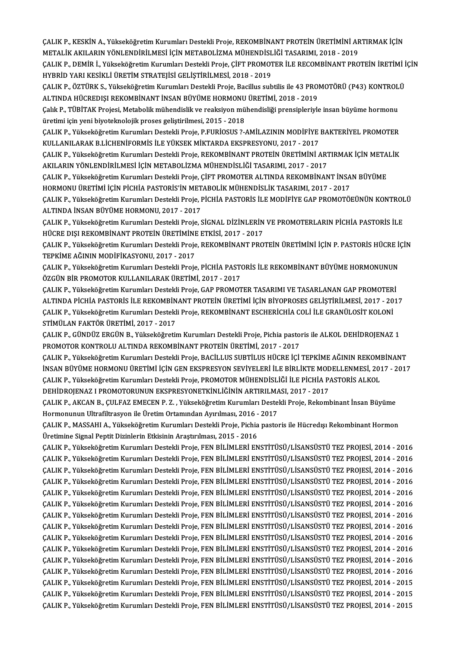ÇALIK P., KESKİN A., Yükseköğretim Kurumları Destekli Proje, REKOMBİNANT PROTEİN ÜRETİMİNİ ARTIRMAK İÇİN<br>METALİK AKU ARIN YÖNLENDİRİLMESİ İÇİN METARQI İZMA MÜHENDİSLİĞI TASARIMI 2018, 2019 ÇALIK P., KESKİN A., Yükseköğretim Kurumları Destekli Proje, REKOMBİNANT PROTEİN ÜRETİMİNİ AF<br>METALİK AKILARIN YÖNLENDİRİLMESİ İÇİN METABOLİZMA MÜHENDİSLİĞİ TASARIMI, 2018 - 2019<br>CALIK P. DEMİR İ. Yükseköğretim Kurumları D ÇALIK P., KESKİN A., Yükseköğretim Kurumları Destekli Proje, REKOMBİNANT PROTEİN ÜRETİMİNİ ARTIRMAK İÇİN<br>METALİK AKILARIN YÖNLENDİRİLMESİ İÇİN METABOLİZMA MÜHENDİSLİĞİ TASARIMI, 2018 - 2019<br>ÇALIK P., DEMİR İ., Yükseköğreti

METALİK AKILARIN YÖNLENDİRİLMESİ İÇİN METABOLİZMA MÜHENDİSLİĞİ TASARIMI, 2018 - 2019<br>ÇALIK P., DEMİR İ., Yükseköğretim Kurumları Destekli Proje, ÇİFT PROMOTER İLE RECOMBİNANT PR(<br>HYBRİD YARI KESİKLİ ÜRETİM STRATEJİSİ GELİŞ ÇALIK P., DEMİR İ., Yükseköğretim Kurumları Destekli Proje, ÇİFT PROMOTER İLE RECOMBİNANT PROTEİN İRETİMİ İ<br>HYBRİD YARI KESİKLİ ÜRETİM STRATEJİSİ GELİŞTİRİLMESİ, 2018 - 2019<br>ÇALIK P., ÖZTÜRK S., Yükseköğretim Kurumları Des

HYBRİD YARI KESİKLİ ÜRETİM STRATEJİSİ GELİŞTİRİLMESİ, 2018 - 2019<br>ÇALIK P., ÖZTÜRK S., Yükseköğretim Kurumları Destekli Proje, Bacillus subtilis ile 43 PRO!<br>ALTINDA HÜCREDIŞI REKOMBİNANT İNSAN BÜYÜME HORMONU ÜRETİMİ, 2018

ÇALIK P., ÖZTÜRK S., Yükseköğretim Kurumları Destekli Proje, Bacillus subtilis ile 43 PROMOTÖRÜ (P43) KONTROLÜ<br>ALTINDA HÜCREDIŞI REKOMBİNANT İNSAN BÜYÜME HORMONU ÜRETİMİ, 2018 - 2019<br>Çalık P., TÜBİTAK Projesi, Metabolik mü ALTINDA HÜCREDIŞI REKOMBİNANT İNSAN BÜYÜME HORMONU<br>Çalık P., TÜBİTAK Projesi, Metabolik mühendislik ve reaksiyon mü<br>üretimi için yeni biyoteknolojik proses geliştirilmesi, 2015 - 2018<br>CALIK P. Yülseköğretim Kurumları Desta Çalık P., TÜBİTAK Projesi, Metabolik mühendislik ve reaksiyon mühendisliği prensipleriyle insan büyüme hormonu<br>üretimi için yeni biyoteknolojik proses geliştirilmesi, 2015 - 2018<br>ÇALIK P., Yükseköğretim Kurumları Destekli

üretimi için yeni biyoteknolojik proses geliştirilmesi, 2015 - 2018<br>ÇALIK P., Yükseköğretim Kurumları Destekli Proje, P.FURİOSUS ?-AMİLAZININ MODİFİYE<br>KULLANILARAK B.LİCHENİFORMİS İLE YÜKSEK MİKTARDA EKSPRESYONU, 2017 - 20 ÇALIK P., Yükseköğretim Kurumları Destekli Proje, P.FURİOSUS ?-AMİLAZININ MODİFİYE BAKTERİYEL PROMOTER<br>KULLANILARAK B.LİCHENİFORMİS İLE YÜKSEK MİKTARDA EKSPRESYONU, 2017 - 2017<br>ÇALIK P., Yükseköğretim Kurumları Destekli Pr

KULLANILARAK B.LİCHENİFORMİS İLE YÜKSEK MİKTARDA EKSPRESYONU, 2017 - 2017<br>ÇALIK P., Yükseköğretim Kurumları Destekli Proje, REKOMBİNANT PROTEİN ÜRETİMİNİ ART<br>AKILARIN YÖNLENDİRİLMESİ İÇİN METABOLİZMA MÜHENDİSLİĞİ TASARIMI, ÇALIK P., Yükseköğretim Kurumları Destekli Proje, REKOMBİNANT PROTEİN ÜRETİMİNİ ARTIRMAK İÇİN META<br>AKILARIN YÖNLENDİRİLMESİ İÇİN METABOLİZMA MÜHENDİSLİĞİ TASARIMI, 2017 - 2017<br>ÇALIK P., Yükseköğretim Kurumları Destekli Pro

AKILARIN YÖNLENDİRİLMESİ İÇİN METABOLİZMA MÜHENDİSLİĞİ TASARIMI, 2017 - 2017<br>ÇALIK P., Yükseköğretim Kurumları Destekli Proje, ÇİFT PROMOTER ALTINDA REKOMBİNANT İNSAN BÜYÜME<br>HORMONU ÜRETİMİ İÇİN PİCHİA PASTORİS'İN METABOLİ ÇALIK P., Yükseköğretim Kurumları Destekli Proje, ÇİFT PROMOTER ALTINDA REKOMBİNANT İNSAN BÜYÜME<br>HORMONU ÜRETİMİ İÇİN PİCHİA PASTORİS'İN METABOLİK MÜHENDİSLİK TASARIMI, 2017 - 2017<br>ÇALIK P., Yükseköğretim Kurumları Destekl

HORMONU ÜRETİMİ İÇİN PİCHİA PASTORİS'İN MET<br>ÇALIK P., Yükseköğretim Kurumları Destekli Proje, I<br>ALTINDA İNSAN BÜYÜME HORMONU, 2017 - 2017<br>CALIK P. Yükseköğretim Kurumları Destekli Proje S ÇALIK P., Yükseköğretim Kurumları Destekli Proje, PİCHİA PASTORİS İLE MODİFİYE GAP PROMOTÖEÜNÜN KONTROL<br>ALTINDA İNSAN BÜYÜME HORMONU, 2017 - 2017<br>ÇALIK P., Yükseköğretim Kurumları Destekli Proje, SİGNAL DİZİNLERİN VE PROMO

ALTINDA İNSAN BÜYÜME HORMONU, 2017 - 2017<br>ÇALIK P., Yükseköğretim Kurumları Destekli Proje, SİGNAL DİZİNLERİN VE PROMOTERLARIN PİCHİA PASTORİS İLE<br>HÜCRE DISI REKOMBİNANT PROTEİN ÜRETİMİNE ETKİSİ, 2017 - 2017 ÇALIK P., Yükseköğretim Kurumları Destekli Proje, SİGNAL DİZİNLERİN VE PROMOTERLARIN PİCHİA PASTORİS İLE<br>HÜCRE DIŞI REKOMBİNANT PROTEİN ÜRETİMİNE ETKİSİ, 2017 - 2017<br>ÇALIK P., Yükseköğretim Kurumları Destekli Proje, REKOMB

HÜCRE DIŞI REKOMBİNANT PROTEİN ÜRETİMİNE<br>ÇALIK P., Yükseköğretim Kurumları Destekli Proje<br>TEPKİME AĞININ MODİFİKASYONU, 2017 - 2017<br>ÇALIK P. Yükseköğretim Kunumları Destekli Proje ÇALIK P., Yükseköğretim Kurumları Destekli Proje, REKOMBİNANT PROTEİN ÜRETİMİNİ İÇİN P. PASTORİS HÜCRE İ<br>TEPKİME AĞININ MODİFİKASYONU, 2017 - 2017<br>ÇALIK P., Yükseköğretim Kurumları Destekli Proje, PİCHİA PASTORİS İLE REKOM

TEPKİME AĞININ MODİFİKASYONU, 2017 - 2017<br>ÇALIK P., Yükseköğretim Kurumları Destekli Proje, PİCHİA PASTORİS İLE REKOMBİNANT BÜYÜME HORMONUNUN<br>ÖZGÜN BİR PROMOTOR KULLANILARAK ÜRETİMİ, 2017 - 2017 ÇALIK P., Yükseköğretim Kurumları Destekli Proje, PİCHİA PASTORİS İLE REKOMBİNANT BÜYÜME HORMONUNUN<br>ÖZGÜN BİR PROMOTOR KULLANILARAK ÜRETİMİ, 2017 - 2017<br>ÇALIK P., Yükseköğretim Kurumları Destekli Proje, GAP PROMOTER TASARI

ÖZGÜN BİR PROMOTOR KULLANILARAK ÜRETİMİ, 2017 - 2017<br>ÇALIK P., Yükseköğretim Kurumları Destekli Proje, GAP PROMOTER TASARIMI VE TASARLANAN GAP PROMOTERİ<br>ALTINDA PİCHİA PASTORİS İLE REKOMBİNANT PROTEİN ÜRETİMİ İÇİN BİYOPROS ÇALIK P., Yükseköğretim Kurumları Destekli Proje, GAP PROMOTER TASARIMI VE TASARLANAN GAP PROMOTER<br>ALTINDA PİCHİA PASTORİS İLE REKOMBİNANT PROTEİN ÜRETİMİ İÇİN BİYOPROSES GELİŞTİRİLMESİ, 2017 - 20<br>ÇALIK P., Yükseköğretim K ALTINDA PİCHİA PASTORİS İLE REKOMBİNANT PROTEİN ÜRETİMİ İÇİN BİYOPROSES GELİŞTİRİLMESİ, 2017 - 2017<br>ÇALIK P., Yükseköğretim Kurumları Destekli Proje, REKOMBİNANT ESCHERİCHİA COLİ İLE GRANÜLOSİT KOLONİ<br>STİMÜLAN FAKTÖR ÜRETİ

ÇALIKP.,GÜNDÜZ ERGÜNB.,YükseköğretimKurumlarıDestekliProje,Pichia pastoris ileALKOLDEHİDROJENAZ 1 PROMOTOR KONTROLU ALTINDA REKOMBİNANT PROTEİN ÜRETİMİ, 2017 - 2017

ÇALIK P., Yükseköğretim Kurumları Destekli Proje, BACİLLUS SUBTİLUS HÜCRE İÇİ TEPKİME AĞININ REKOMBİNANT PROMOTOR KONTROLU ALTINDA REKOMBİNANT PROTEİN ÜRETİMİ, 2017 - 2017<br>ÇALIK P., Yükseköğretim Kurumları Destekli Proje, BACİLLUS SUBTİLUS HÜCRE İÇİ TEPKİME AĞININ REKOMBİNANT<br>İNSAN BÜYÜME HORMONU ÜRETİMİ İÇİN GEN EKSPRESYON S ÇALIK P., Yükseköğretim Kurumları Destekli Proje, BACİLLUS SUBTİLUS HÜCRE İÇİ TEPKİME AĞININ REKOMI<br>İNSAN BÜYÜME HORMONU ÜRETİMİ İÇİN GEN EKSPRESYON SEVİYELERİ İLE BİRLİKTE MODELLENMESİ, 201<br>ÇALIK P., Yükseköğretim Kurumla İNSAN BÜYÜME HORMONU ÜRETİMİ İÇİN GEN EKSPRESYON SEVİYELERİ İLE BIRLİKTE MOD<br>ÇALIK P., Yükseköğretim Kurumları Destekli Proje, PROMOTOR MÜHENDİSLİĞİ İLE PİCHİA P.<br>DEHİDROJENAZ I PROMOTORUNUN EKSPRESYONETKİNLİĞİNİN ARTIRILM DEHİDROJENAZ I PROMOTORUNUN EKSPRESYONETKİNLİĞİNİN ARTIRILMASI, 2017 - 2017

ÇALIK P., Yükseköğretim Kurumları Destekli Proje, PROMOTOR MÜHENDİSLİĞİ İLE PİCHİA PASTORİS ALKOL<br>DEHİDROJENAZ I PROMOTORUNUN EKSPRESYONETKİNLİĞİNİN ARTIRILMASI, 2017 - 2017<br>ÇALIK P., AKCAN B., ÇULFAZ EMECEN P. Z. , Yüksek ÇALIK P., AKCAN B., ÇULFAZ EMECEN P. Z. , Yükseköğretim Kurumları Destekli Proje, Rekombinant İnsan Büyüme<br>Hormonunun Ultrafiltrasyon ile Üretim Ortamından Ayırılması, 2016 - 2017<br>ÇALIK P., MASSAHI A., Yükseköğretim Kuruml

Hormonunun Ultrafiltrasyon ile Üretim Ortamından Ayırılması, 2016 -<br>ÇALIK P., MASSAHI A., Yükseköğretim Kurumları Destekli Proje, Pichia<br>Üretimine Signal Peptit Dizinlerin Etkisinin Araştırılması, 2015 - 2016<br>CALIK P. Yüks

Üretimine Signal Peptit Dizinlerin Etkisinin Araştırılması, 2015 - 2016<br>ÇALIK P., Yükseköğretim Kurumları Destekli Proje, FEN BİLİMLERİ ENSTİTÜSÜ/LİSANSÜSTÜ TEZ PROJESİ, 2014 - 2016 ÇALIK P., Yükseköğretim Kurumları Destekli Proje, FEN BİLİMLERİ ENSTİTÜSÜ/LİSANSÜSTÜ TEZ PROJESİ, 2014 - 2016 ÇALIK P., Yükseköğretim Kurumları Destekli Proje, FEN BİLİMLERİ ENSTİTÜSÜ/LİSANSÜSTÜ TEZ PROJESİ, 2014 - 2016<br>ÇALIK P., Yükseköğretim Kurumları Destekli Proje, FEN BİLİMLERİ ENSTİTÜSÜ/LİSANSÜSTÜ TEZ PROJESİ, 2014 - 2016<br>ÇA ÇALIK P., Yükseköğretim Kurumları Destekli Proje, FEN BİLİMLERİ ENSTİTÜSÜ/LİSANSÜSTÜ TEZ PROJESİ, 2014 - 2016<br>ÇALIK P., Yükseköğretim Kurumları Destekli Proje, FEN BİLİMLERİ ENSTİTÜSÜ/LİSANSÜSTÜ TEZ PROJESİ, 2014 - 2016<br>ÇA ÇALIK P., Yükseköğretim Kurumları Destekli Proje, FEN BİLİMLERİ ENSTİTÜSÜ/LİSANSÜSTÜ TEZ PROJESİ, 2014 - 2016<br>ÇALIK P., Yükseköğretim Kurumları Destekli Proje, FEN BİLİMLERİ ENSTİTÜSÜ/LİSANSÜSTÜ TEZ PROJESİ, 2014 - 2016<br>ÇA ÇALIK P., Yükseköğretim Kurumları Destekli Proje, FEN BİLİMLERİ ENSTİTÜSÜ/LİSANSÜSTÜ TEZ PROJESİ, 2014 - 2016<br>ÇALIK P., Yükseköğretim Kurumları Destekli Proje, FEN BİLİMLERİ ENSTİTÜSÜ/LİSANSÜSTÜ TEZ PROJESİ, 2014 - 2016<br>ÇA ÇALIK P., Yükseköğretim Kurumları Destekli Proje, FEN BİLİMLERİ ENSTİTÜSÜ/LİSANSÜSTÜ TEZ PROJESİ, 2014 - 2016<br>ÇALIK P., Yükseköğretim Kurumları Destekli Proje, FEN BİLİMLERİ ENSTİTÜSÜ/LİSANSÜSTÜ TEZ PROJESİ, 2014 - 2016<br>ÇA ÇALIK P., Yükseköğretim Kurumları Destekli Proje, FEN BİLİMLERİ ENSTİTÜSÜ/LİSANSÜSTÜ TEZ PROJESİ, 2014 - 2016<br>ÇALIK P., Yükseköğretim Kurumları Destekli Proje, FEN BİLİMLERİ ENSTİTÜSÜ/LİSANSÜSTÜ TEZ PROJESİ, 2014 - 2016<br>ÇA ÇALIK P., Yükseköğretim Kurumları Destekli Proje, FEN BİLİMLERİ ENSTİTÜSÜ/LİSANSÜSTÜ TEZ PROJESİ, 2014 - 2016<br>ÇALIK P., Yükseköğretim Kurumları Destekli Proje, FEN BİLİMLERİ ENSTİTÜSÜ/LİSANSÜSTÜ TEZ PROJESİ, 2014 - 2016<br>ÇA ÇALIK P., Yükseköğretim Kurumları Destekli Proje, FEN BİLİMLERİ ENSTİTÜSÜ/LİSANSÜSTÜ TEZ PROJESİ, 2014 - 2016<br>ÇALIK P., Yükseköğretim Kurumları Destekli Proje, FEN BİLİMLERİ ENSTİTÜSÜ/LİSANSÜSTÜ TEZ PROJESİ, 2014 - 2016<br>ÇA ÇALIK P., Yükseköğretim Kurumları Destekli Proje, FEN BİLİMLERİ ENSTİTÜSÜ/LİSANSÜSTÜ TEZ PROJESİ, 2014 - 2016<br>ÇALIK P., Yükseköğretim Kurumları Destekli Proje, FEN BİLİMLERİ ENSTİTÜSÜ/LİSANSÜSTÜ TEZ PROJESİ, 2014 - 2016<br>ÇA ÇALIK P., Yükseköğretim Kurumları Destekli Proje, FEN BİLİMLERİ ENSTİTÜSÜ/LİSANSÜSTÜ TEZ PROJESİ, 2014 - 2016<br>ÇALIK P., Yükseköğretim Kurumları Destekli Proje, FEN BİLİMLERİ ENSTİTÜSÜ/LİSANSÜSTÜ TEZ PROJESİ, 2014 - 2016<br>ÇA ÇALIK P., Yükseköğretim Kurumları Destekli Proje, FEN BİLİMLERİ ENSTİTÜSÜ/LİSANSÜSTÜ TEZ PROJESİ, 2014 - 2016<br>ÇALIK P., Yükseköğretim Kurumları Destekli Proje, FEN BİLİMLERİ ENSTİTÜSÜ/LİSANSÜSTÜ TEZ PROJESİ, 2014 - 2015<br>ÇA ÇALIKP.,YükseköğretimKurumlarıDestekliProje,FENBİLİMLERİENSTİTÜSÜ/LİSANSÜSTÜTEZ PROJESİ,2014 -2015 ÇALIKP.,YükseköğretimKurumlarıDestekliProje,FENBİLİMLERİENSTİTÜSÜ/LİSANSÜSTÜTEZ PROJESİ,2014 -2015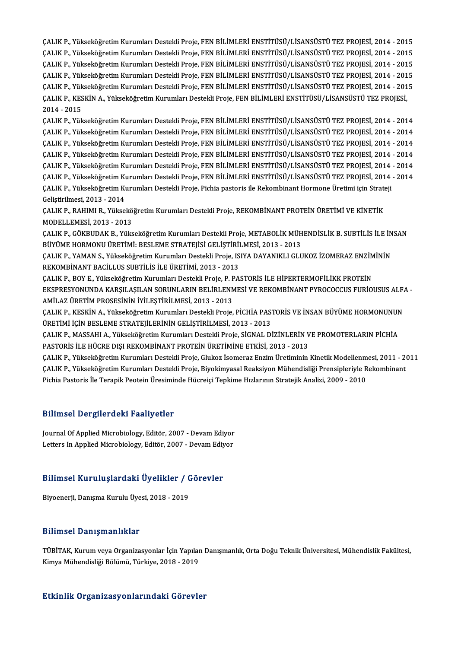ÇALIK P., Yükseköğretim Kurumları Destekli Proje, FEN BİLİMLERİ ENSTİTÜSÜ/LİSANSÜSTÜ TEZ PROJESİ, 2014 - 2015<br>CALIK P., Yükseköğretim Kurumları Destekli Proje, FEN BİLİMLERİ ENSTİTÜSÜ/LİSANSÜSTÜ TEZ PROJESİ, 2014 - 2015 ÇALIK P., Yükseköğretim Kurumları Destekli Proje, FEN BİLİMLERİ ENSTİTÜSÜ/LİSANSÜSTÜ TEZ PROJESİ, 2014 - 2015<br>ÇALIK P., Yükseköğretim Kurumları Destekli Proje, FEN BİLİMLERİ ENSTİTÜSÜ/LİSANSÜSTÜ TEZ PROJESİ, 2014 - 2015<br>ÇA ÇALIK P., Yükseköğretim Kurumları Destekli Proje, FEN BİLİMLERİ ENSTİTÜSÜ/LİSANSÜSTÜ TEZ PROJESİ, 2014 - 2015<br>ÇALIK P., Yükseköğretim Kurumları Destekli Proje, FEN BİLİMLERİ ENSTİTÜSÜ/LİSANSÜSTÜ TEZ PROJESİ, 2014 - 2015<br>ÇA ÇALIK P., Yükseköğretim Kurumları Destekli Proje, FEN BİLİMLERİ ENSTİTÜSÜ/LİSANSÜSTÜ TEZ PROJESİ, 2014 - 2015<br>ÇALIK P., Yükseköğretim Kurumları Destekli Proje, FEN BİLİMLERİ ENSTİTÜSÜ/LİSANSÜSTÜ TEZ PROJESİ, 2014 - 2015<br>ÇA ÇALIK P., Yükseköğretim Kurumları Destekli Proje, FEN BİLİMLERİ ENSTİTÜSÜ/LİSANSÜSTÜ TEZ PROJESİ, 2014 - 2015<br>ÇALIK P., Yükseköğretim Kurumları Destekli Proje, FEN BİLİMLERİ ENSTİTÜSÜ/LİSANSÜSTÜ TEZ PROJESİ, 2014 - 2015<br>ÇA ÇALIK P., Yükseköğretim Kurumları Destekli Proje, FEN BİLİMLERİ ENSTİTÜSÜ/LİSANSÜSTÜ TEZ PROJESİ, 2014 - 201<br>ÇALIK P., Yükseköğretim Kurumları Destekli Proje, FEN BİLİMLERİ ENSTİTÜSÜ/LİSANSÜSTÜ TEZ PROJESİ, 2014 - 201<br>ÇALI **CALIK P., Yük<br>CALIK P., KES<br>2014 - 2015<br>CALIK B. Vük** ÇALIK P., KESKİN A., Yükseköğretim Kurumları Destekli Proje, FEN BİLİMLERİ ENSTİTÜSÜ/LİSANSÜSTÜ TEZ PROJESİ,<br>2014 - 2015<br>ÇALIK P., Yükseköğretim Kurumları Destekli Proje, FEN BİLİMLERİ ENSTİTÜSÜ/LİSANSÜSTÜ TEZ PROJESİ, 201

2014 - 2015<br>ÇALIK P., Yükseköğretim Kurumları Destekli Proje, FEN BİLİMLERİ ENSTİTÜSÜ/LİSANSÜSTÜ TEZ PROJESİ, 2014 - 2014<br>ÇALIK P., Yükseköğretim Kurumları Destekli Proje, FEN BİLİMLERİ ENSTİTÜSÜ/LİSANSÜSTÜ TEZ PROJESİ, 20 ÇALIK P., Yükseköğretim Kurumları Destekli Proje, FEN BİLİMLERİ ENSTİTÜSÜ/LİSANSÜSTÜ TEZ PROJESİ, 2014 - 2014<br>ÇALIK P., Yükseköğretim Kurumları Destekli Proje, FEN BİLİMLERİ ENSTİTÜSÜ/LİSANSÜSTÜ TEZ PROJESİ, 2014 - 2014<br>ÇA ÇALIK P., Yükseköğretim Kurumları Destekli Proje, FEN BİLİMLERİ ENSTİTÜSÜ/LİSANSÜSTÜ TEZ PROJESİ, 2014 - 2014<br>ÇALIK P., Yükseköğretim Kurumları Destekli Proje, FEN BİLİMLERİ ENSTİTÜSÜ/LİSANSÜSTÜ TEZ PROJESİ, 2014 - 2014<br>ÇA ÇALIK P., Yükseköğretim Kurumları Destekli Proje, FEN BİLİMLERİ ENSTİTÜSÜ/LİSANSÜSTÜ TEZ PROJESİ, 2014 - 2014<br>ÇALIK P., Yükseköğretim Kurumları Destekli Proje, FEN BİLİMLERİ ENSTİTÜSÜ/LİSANSÜSTÜ TEZ PROJESİ, 2014 - 2014<br>ÇA ÇALIK P., Yükseköğretim Kurumları Destekli Proje, FEN BİLİMLERİ ENSTİTÜSÜ/LİSANSÜSTÜ TEZ PROJESİ, 2014 - 2014<br>ÇALIK P., Yükseköğretim Kurumları Destekli Proje, FEN BİLİMLERİ ENSTİTÜSÜ/LİSANSÜSTÜ TEZ PROJESİ, 2014 - 2014<br>ÇA ÇALIK P., Yükseköğretim Kurumları Destekli Proje, FEN BİLİMLERİ ENSTİTÜSÜ/LİSANSÜSTÜ TEZ PROJESİ, 2014<br>ÇALIK P., Yükseköğretim Kurumları Destekli Proje, FEN BİLİMLERİ ENSTİTÜSÜ/LİSANSÜSTÜ TEZ PROJESİ, 2014<br>ÇALIK P., Yüksek CALIK P., Yükseköğretim Kı<br>CALIK P., Yükseköğretim Kı<br>Geliştirilmesi, 2013 - 2014<br>CALIK B. BAHIML B. Yüksel ÇALIK P., Yükseköğretim Kurumları Destekli Proje, Pichia pastoris ile Rekombinant Hormone Üretimi için Strate<br>Geliştirilmesi, 2013 - 2014<br>ÇALIK P., RAHIMI R., Yükseköğretim Kurumları Destekli Proje, REKOMBİNANT PROTEİN ÜRE

Geliştirilmesi, 2013 - 2014<br>ÇALIK P., RAHIMI R., Yükseköğretim Kurumları Destekli Proje, REKOMBİNANT PROTEİN ÜRETİMİ VE KİNETİK<br>MODELLEMESİ, 2013 - 2013 ÇALIK P., RAHIMI R., Yükseköğretim Kurumları Destekli Proje, REKOMBİNANT PROTEİN ÜRETİMİ VE KİNETİK<br>MODELLEMESİ, 2013 - 2013<br>ÇALIK P., GÖKBUDAK B., Yükseköğretim Kurumları Destekli Proje, METABOLİK MÜHENDİSLİK B. SUBTİLİS

MODELLEMESİ, 2013 - 2013<br>ÇALIK P., GÖKBUDAK B., Yükseköğretim Kurumları Destekli Proje, METABOLİK MÜH<br>BÜYÜME HORMONU ÜRETİMİ: BESLEME STRATEJİSİ GELİŞTİRİLMESİ, 2013 - 2013<br>ÇALIK P. YAMAN S. Yükseköğretim Kurumları Destekl ÇALIK P., GÖKBUDAK B., Yükseköğretim Kurumları Destekli Proje, METABOLİK MÜHENDİSLİK B. SUBTİLİS İLE İN<br>BÜYÜME HORMONU ÜRETİMİ: BESLEME STRATEJİSİ GELİŞTİRİLMESİ, 2013 - 2013<br>ÇALIK P., YAMAN S., Yükseköğretim Kurumları Des

BÜYÜME HORMONU ÜRETİMİ: BESLEME STRATEJİSİ GELİŞTİRİ<br>ÇALIK P., YAMAN S., Yükseköğretim Kurumları Destekli Proje, IS<br>REKOMBİNANT BACİLLUS SUBTİLİS İLE ÜRETİMİ, 2013 - 2013<br>CALIK B. BOV E. Vülseköğretim Kurumları Destekli Br ÇALIK P., YAMAN S., Yükseköğretim Kurumları Destekli Proje, ISIYA DAYANIKLI GLUKOZ İZOMERAZ ENZİM<br>REKOMBİNANT BACİLLUS SUBTİLİS İLE ÜRETİMİ, 2013 - 2013<br>ÇALIK P., BOY E., Yükseköğretim Kurumları Destekli Proje, P. PASTORİS

REKOMBİNANT BACİLLUS SUBTİLİS İLE ÜRETİMİ, 2013 - 2013<br>ÇALIK P., BOY E., Yükseköğretim Kurumları Destekli Proje, P. PASTORİS İLE HİPERTERMOFİLİKK PROTEİN<br>EKSPRESYONUNDA KARŞILAŞILAN SORUNLARIN BELİRLENMESİ VE REKOMBİNANT P ÇALIK P., BOY E., Yükseköğretim Kurumları Destekli Proje, P. F<br>EKSPRESYONUNDA KARŞILAŞILAN SORUNLARIN BELİRLENN<br>AMİLAZ ÜRETİM PROSESİNİN İYİLEŞTİRİLMESİ, 2013 - 2013<br>CALIK B. KESKİN A. Yükseköğretim Kurumları Destekli Prej EKSPRESYONUNDA KARŞILAŞILAN SORUNLARIN BELİRLENMESİ VE REKOMBİNANT PYROCOCCUS FURİOUSUS ALF*I*<br>AMİLAZ ÜRETİM PROSESİNİN İYİLEŞTİRİLMESİ, 2013 - 2013<br>ÇALIK P., KESKİN A., Yükseköğretim Kurumları Destekli Proje, PİCHİA PASTO

AMİLAZ ÜRETİM PROSESİNİN İYİLEŞTİRİLMESİ, 2013 - 2013<br>ÇALIK P., KESKİN A., Yükseköğretim Kurumları Destekli Proje, PİCHİA PASTORİS VE İNSAN BÜYÜME HORMONUNU!<br>ÜRETİMİ İÇİN BESLEME STRATEJİLERİNİN GELİŞTİRİLMESİ, 2013 - 2013 ÇALIK P., KESKİN A., Yükseköğretim Kurumları Destekli Proje, PİCHİA PASTORİS VE İNSAN BÜYÜME HORMONUNUN

PASTORİS İLE HÜCRE DIŞI REKOMBİNANT PROTEİN ÜRETİMİNE ETKİSİ, 2013 - 2013 ÇALIK P., MASSAHI A., Yükseköğretim Kurumları Destekli Proje, SİGNAL DİZİNLERİN VE PROMOTERLARIN PİCHİA<br>PASTORİS İLE HÜCRE DIŞI REKOMBİNANT PROTEİN ÜRETİMİNE ETKİSİ, 2013 - 2013<br>ÇALIK P., Yükseköğretim Kurumları Destekli P

PASTORİS İLE HÜCRE DIŞI REKOMBİNANT PROTEİN ÜRETİMİNE ETKİSİ, 2013 - 2013<br>ÇALIK P., Yükseköğretim Kurumları Destekli Proje, Glukoz İsomeraz Enzim Üretiminin Kinetik Modellenmesi, 2011 - 2(<br>ÇALIK P., Yükseköğretim Kurumları ÇALIK P., Yükseköğretim Kurumları Destekli Proje, Glukoz İsomeraz Enzim Üretiminin Kinetik Modellenm<br>ÇALIK P., Yükseköğretim Kurumları Destekli Proje, Biyokimyasal Reaksiyon Mühendisliği Prensipleriyle R<br>Pichia Pastoris İl Pichia Pastoris İle Terapik Peotein Üresiminde Hücreiçi Tepkime Hızlarının Stratejik Analizi, 2009 - 2010<br>Bilimsel Dergilerdeki Faaliyetler

Bilimsel Dergilerdeki Faaliyetler<br>Journal Of Applied Microbiology, Editör, 2007 - Devam Ediyor<br>Letters In Applied Microbiology, Editör, 2007 - Devam Ediyor Difficed Defined Com Puttify Seco.<br>Journal Of Applied Microbiology, Editör, 2007 - Devam Ediyor<br>Letters In Applied Microbiology, Editör, 2007 - Devam Ediyor

# Leuers in Applied Microbiology, Editor, 2007 - Devam Ediy<br>Bilimsel Kuruluşlardaki Üyelikler / Görevler <mark>Bilimsel Kuruluşlardaki Üyelikler / (</mark><br>Biyoenerji, Danışma Kurulu Üyesi, 2018 - 2019

Biyoenerji, Danışma Kurulu Üyesi, 2018 - 2019<br>Bilimsel Danışmanlıklar

Bilimsel Danışmanlıklar<br>TÜBİTAK, Kurum veya Organizasyonlar İçin Yapılan Danışmanlık, Orta Doğu Teknik Üniversitesi, Mühendislik Fakültesi,<br>Kimya Mühendialiği Bölümü, Türkiye, 2018, 2019 KimyaMühendisliğiBölümü,Türkiye,2018 -2019

# Kimya Mühendisliği Bölümü, Türkiye, 2018 - 2019<br>Etkinlik Organizasyonlarındaki Görevler